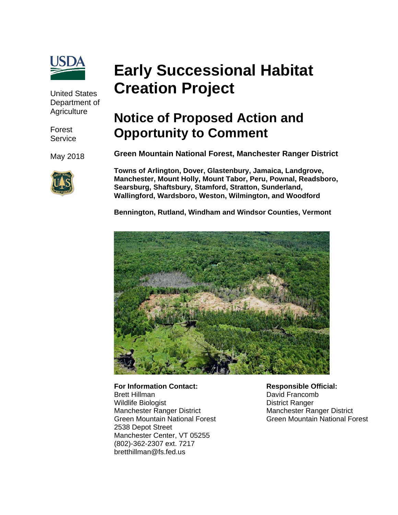

United States Department of **Agriculture** 

Forest **Service** 

May 2018



# **Early Successional Habitat Creation Project**

# **Notice of Proposed Action and Opportunity to Comment**

**Green Mountain National Forest, Manchester Ranger District** 

**Towns of Arlington, Dover, Glastenbury, Jamaica, Landgrove, Manchester, Mount Holly, Mount Tabor, Peru, Pownal, Readsboro, Searsburg, Shaftsbury, Stamford, Stratton, Sunderland, Wallingford, Wardsboro, Weston, Wilmington, and Woodford** 

**Bennington, Rutland, Windham and Windsor Counties, Vermont**



**For Information Contact:**  Brett Hillman Wildlife Biologist Manchester Ranger District Green Mountain National Forest 2538 Depot Street Manchester Center, VT 05255 (802)-362-2307 ext. 7217 bretthillman@fs.fed.us

**Responsible Official:**  David Francomb District Ranger Manchester Ranger District Green Mountain National Forest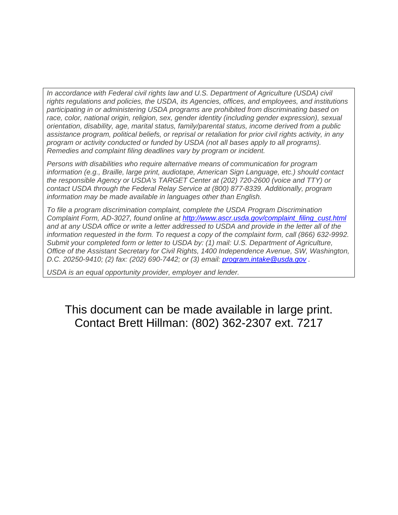In accordance with Federal civil rights law and U.S. Department of Agriculture (USDA) civil *rights regulations and policies, the USDA, its Agencies, offices, and employees, and institutions participating in or administering USDA programs are prohibited from discriminating based on race, color, national origin, religion, sex, gender identity (including gender expression), sexual orientation, disability, age, marital status, family/parental status, income derived from a public assistance program, political beliefs, or reprisal or retaliation for prior civil rights activity, in any program or activity conducted or funded by USDA (not all bases apply to all programs). Remedies and complaint filing deadlines vary by program or incident.* 

*Persons with disabilities who require alternative means of communication for program information (e.g., Braille, large print, audiotape, American Sign Language, etc.) should contact the responsible Agency or USDA's TARGET Center at (202) 720-2600 (voice and TTY) or contact USDA through the Federal Relay Service at (800) 877-8339. Additionally, program information may be made available in languages other than English.*

*To file a program discrimination complaint, complete the USDA Program Discrimination Complaint Form, AD-3027, found online at http://www.ascr.usda.gov/complaint\_filing\_cust.html and at any USDA office or write a letter addressed to USDA and provide in the letter all of the information requested in the form. To request a copy of the complaint form, call (866) 632-9992. Submit your completed form or letter to USDA by: (1) mail: U.S. Department of Agriculture, Office of the Assistant Secretary for Civil Rights, 1400 Independence Avenue, SW, Washington, D.C. 20250-9410; (2) fax: (202) 690-7442; or (3) email: program.intake@usda.gov .*

*USDA is an equal opportunity provider, employer and lender.*

# This document can be made available in large print. Contact Brett Hillman: (802) 362-2307 ext. 7217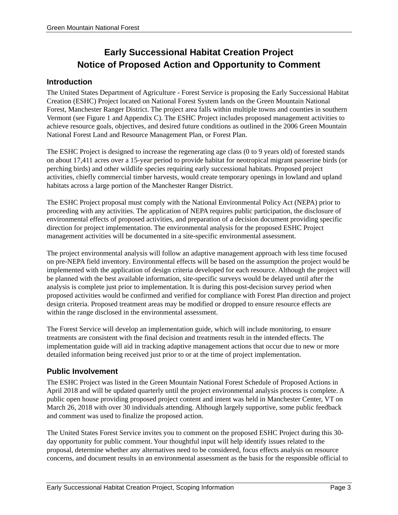## **Early Successional Habitat Creation Project Notice of Proposed Action and Opportunity to Comment**

#### **Introduction**

The United States Department of Agriculture - Forest Service is proposing the Early Successional Habitat Creation (ESHC) Project located on National Forest System lands on the Green Mountain National Forest, Manchester Ranger District. The project area falls within multiple towns and counties in southern Vermont (see Figure 1 and Appendix C). The ESHC Project includes proposed management activities to achieve resource goals, objectives, and desired future conditions as outlined in the 2006 Green Mountain National Forest Land and Resource Management Plan, or Forest Plan.

The ESHC Project is designed to increase the regenerating age class (0 to 9 years old) of forested stands on about 17,411 acres over a 15-year period to provide habitat for neotropical migrant passerine birds (or perching birds) and other wildlife species requiring early successional habitats. Proposed project activities, chiefly commercial timber harvests, would create temporary openings in lowland and upland habitats across a large portion of the Manchester Ranger District.

The ESHC Project proposal must comply with the National Environmental Policy Act (NEPA) prior to proceeding with any activities. The application of NEPA requires public participation, the disclosure of environmental effects of proposed activities, and preparation of a decision document providing specific direction for project implementation. The environmental analysis for the proposed ESHC Project management activities will be documented in a site-specific environmental assessment.

The project environmental analysis will follow an adaptive management approach with less time focused on pre-NEPA field inventory. Environmental effects will be based on the assumption the project would be implemented with the application of design criteria developed for each resource. Although the project will be planned with the best available information, site-specific surveys would be delayed until after the analysis is complete just prior to implementation. It is during this post-decision survey period when proposed activities would be confirmed and verified for compliance with Forest Plan direction and project design criteria. Proposed treatment areas may be modified or dropped to ensure resource effects are within the range disclosed in the environmental assessment.

The Forest Service will develop an implementation guide, which will include monitoring, to ensure treatments are consistent with the final decision and treatments result in the intended effects. The implementation guide will aid in tracking adaptive management actions that occur due to new or more detailed information being received just prior to or at the time of project implementation.

#### **Public Involvement**

The ESHC Project was listed in the Green Mountain National Forest Schedule of Proposed Actions in April 2018 and will be updated quarterly until the project environmental analysis process is complete. A public open house providing proposed project content and intent was held in Manchester Center, VT on March 26, 2018 with over 30 individuals attending. Although largely supportive, some public feedback and comment was used to finalize the proposed action.

The United States Forest Service invites you to comment on the proposed ESHC Project during this 30 day opportunity for public comment. Your thoughtful input will help identify issues related to the proposal, determine whether any alternatives need to be considered, focus effects analysis on resource concerns, and document results in an environmental assessment as the basis for the responsible official to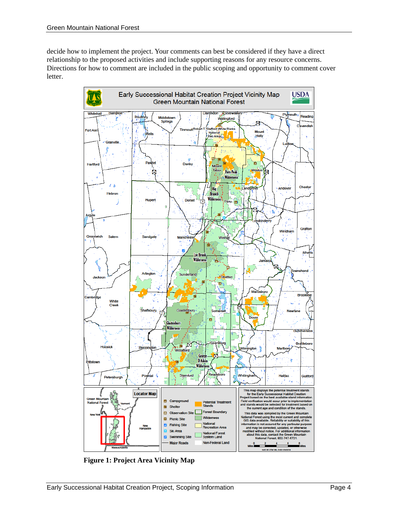decide how to implement the project. Your comments can best be considered if they have a direct relationship to the proposed activities and include supporting reasons for any resource concerns. Directions for how to comment are included in the public scoping and opportunity to comment cover letter.



 **Figure 1: Project Area Vicinity Map**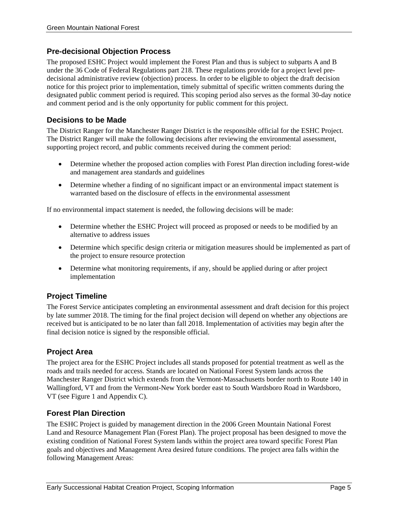#### **Pre-decisional Objection Process**

The proposed ESHC Project would implement the Forest Plan and thus is subject to subparts A and B under the 36 Code of Federal Regulations part 218. These regulations provide for a project level predecisional administrative review (objection) process. In order to be eligible to object the draft decision notice for this project prior to implementation, timely submittal of specific written comments during the designated public comment period is required. This scoping period also serves as the formal 30-day notice and comment period and is the only opportunity for public comment for this project.

#### **Decisions to be Made**

The District Ranger for the Manchester Ranger District is the responsible official for the ESHC Project. The District Ranger will make the following decisions after reviewing the environmental assessment, supporting project record, and public comments received during the comment period:

- Determine whether the proposed action complies with Forest Plan direction including forest-wide and management area standards and guidelines
- Determine whether a finding of no significant impact or an environmental impact statement is warranted based on the disclosure of effects in the environmental assessment

If no environmental impact statement is needed, the following decisions will be made:

- Determine whether the ESHC Project will proceed as proposed or needs to be modified by an alternative to address issues
- Determine which specific design criteria or mitigation measures should be implemented as part of the project to ensure resource protection
- Determine what monitoring requirements, if any, should be applied during or after project implementation

#### **Project Timeline**

The Forest Service anticipates completing an environmental assessment and draft decision for this project by late summer 2018. The timing for the final project decision will depend on whether any objections are received but is anticipated to be no later than fall 2018. Implementation of activities may begin after the final decision notice is signed by the responsible official.

#### **Project Area**

The project area for the ESHC Project includes all stands proposed for potential treatment as well as the roads and trails needed for access. Stands are located on National Forest System lands across the Manchester Ranger District which extends from the Vermont-Massachusetts border north to Route 140 in Wallingford, VT and from the Vermont-New York border east to South Wardsboro Road in Wardsboro, VT (see Figure 1 and Appendix C).

#### **Forest Plan Direction**

The ESHC Project is guided by management direction in the 2006 Green Mountain National Forest Land and Resource Management Plan (Forest Plan). The project proposal has been designed to move the existing condition of National Forest System lands within the project area toward specific Forest Plan goals and objectives and Management Area desired future conditions. The project area falls within the following Management Areas: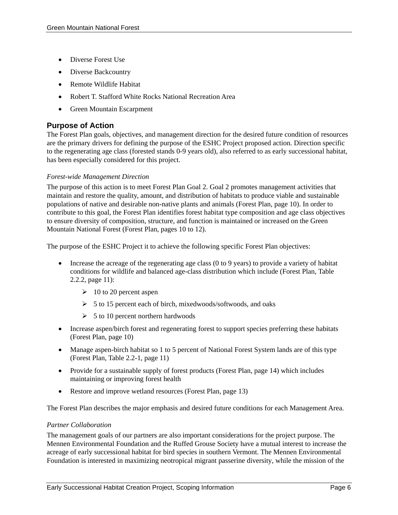- Diverse Forest Use
- Diverse Backcountry
- Remote Wildlife Habitat
- Robert T. Stafford White Rocks National Recreation Area
- Green Mountain Escarpment

#### **Purpose of Action**

The Forest Plan goals, objectives, and management direction for the desired future condition of resources are the primary drivers for defining the purpose of the ESHC Project proposed action. Direction specific to the regenerating age class (forested stands 0-9 years old), also referred to as early successional habitat, has been especially considered for this project.

#### *Forest-wide Management Direction*

The purpose of this action is to meet Forest Plan Goal 2. Goal 2 promotes management activities that maintain and restore the quality, amount, and distribution of habitats to produce viable and sustainable populations of native and desirable non-native plants and animals (Forest Plan, page 10). In order to contribute to this goal, the Forest Plan identifies forest habitat type composition and age class objectives to ensure diversity of composition, structure, and function is maintained or increased on the Green Mountain National Forest (Forest Plan, pages 10 to 12).

The purpose of the ESHC Project it to achieve the following specific Forest Plan objectives:

- Increase the acreage of the regenerating age class (0 to 9 years) to provide a variety of habitat conditions for wildlife and balanced age-class distribution which include (Forest Plan, Table 2.2.2, page 11):
	- $\geq 10$  to 20 percent aspen
	- $\geq$  5 to 15 percent each of birch, mixedwoods/softwoods, and oaks
	- $\geq 5$  to 10 percent northern hardwoods
- Increase aspen/birch forest and regenerating forest to support species preferring these habitats (Forest Plan, page 10)
- Manage aspen-birch habitat so 1 to 5 percent of National Forest System lands are of this type (Forest Plan, Table 2.2-1, page 11)
- Provide for a sustainable supply of forest products (Forest Plan, page 14) which includes maintaining or improving forest health
- Restore and improve wetland resources (Forest Plan, page 13)

The Forest Plan describes the major emphasis and desired future conditions for each Management Area.

#### *Partner Collaboration*

The management goals of our partners are also important considerations for the project purpose. The Mennen Environmental Foundation and the Ruffed Grouse Society have a mutual interest to increase the acreage of early successional habitat for bird species in southern Vermont. The Mennen Environmental Foundation is interested in maximizing neotropical migrant passerine diversity, while the mission of the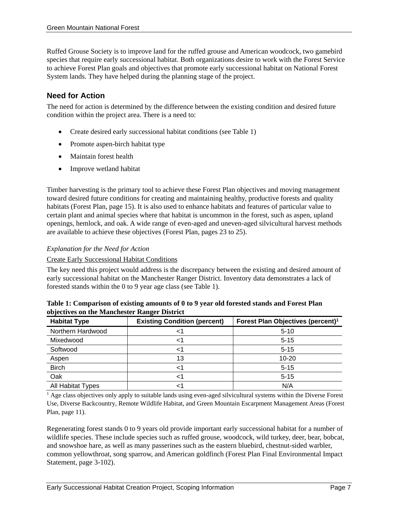Ruffed Grouse Society is to improve land for the ruffed grouse and American woodcock, two gamebird species that require early successional habitat. Both organizations desire to work with the Forest Service to achieve Forest Plan goals and objectives that promote early successional habitat on National Forest System lands. They have helped during the planning stage of the project.

#### **Need for Action**

The need for action is determined by the difference between the existing condition and desired future condition within the project area. There is a need to:

- Create desired early successional habitat conditions (see Table 1)
- Promote aspen-birch habitat type
- Maintain forest health
- Improve wetland habitat

Timber harvesting is the primary tool to achieve these Forest Plan objectives and moving management toward desired future conditions for creating and maintaining healthy, productive forests and quality habitats (Forest Plan, page 15). It is also used to enhance habitats and features of particular value to certain plant and animal species where that habitat is uncommon in the forest, such as aspen, upland openings, hemlock, and oak. A wide range of even-aged and uneven-aged silvicultural harvest methods are available to achieve these objectives (Forest Plan, pages 23 to 25).

#### *Explanation for the Need for Action*

#### Create Early Successional Habitat Conditions

The key need this project would address is the discrepancy between the existing and desired amount of early successional habitat on the Manchester Ranger District. Inventory data demonstrates a lack of forested stands within the 0 to 9 year age class (see Table 1).

| <b>Habitat Type</b> | <b>Existing Condition (percent)</b> | Forest Plan Objectives (percent) <sup>1</sup> |
|---------------------|-------------------------------------|-----------------------------------------------|
| Northern Hardwood   |                                     | $5 - 10$                                      |
| Mixedwood           |                                     | $5 - 15$                                      |
| Softwood            |                                     | $5 - 15$                                      |
| Aspen               | 13                                  | $10 - 20$                                     |
| <b>Birch</b>        |                                     | $5 - 15$                                      |
| Oak                 |                                     | $5 - 15$                                      |
| All Habitat Types   |                                     | N/A                                           |

| Table 1: Comparison of existing amounts of 0 to 9 year old forested stands and Forest Plan |  |
|--------------------------------------------------------------------------------------------|--|
| objectives on the Manchester Ranger District                                               |  |

<sup>1</sup> Age class objectives only apply to suitable lands using even-aged silvicultural systems within the Diverse Forest Use, Diverse Backcountry, Remote Wildlife Habitat, and Green Mountain Escarpment Management Areas (Forest Plan, page 11).

Regenerating forest stands 0 to 9 years old provide important early successional habitat for a number of wildlife species. These include species such as ruffed grouse, woodcock, wild turkey, deer, bear, bobcat, and snowshoe hare, as well as many passerines such as the eastern bluebird, chestnut-sided warbler, common yellowthroat, song sparrow, and American goldfinch (Forest Plan Final Environmental Impact Statement, page 3-102).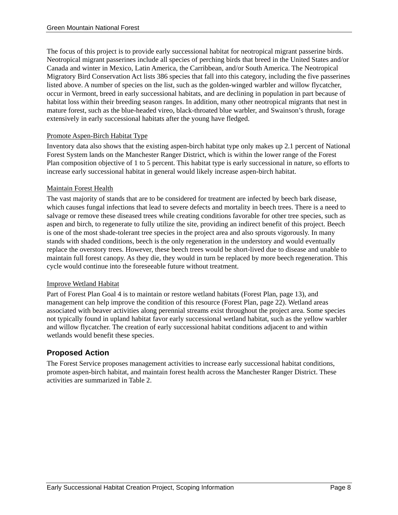The focus of this project is to provide early successional habitat for neotropical migrant passerine birds. Neotropical migrant passerines include all species of perching birds that breed in the United States and/or Canada and winter in Mexico, Latin America, the Carribbean, and/or South America. The Neotropical Migratory Bird Conservation Act lists 386 species that fall into this category, including the five passerines listed above. A number of species on the list, such as the golden-winged warbler and willow flycatcher, occur in Vermont, breed in early successional habitats, and are declining in population in part because of habitat loss within their breeding season ranges. In addition, many other neotropical migrants that nest in mature forest, such as the blue-headed vireo, black-throated blue warbler, and Swainson's thrush, forage extensively in early successional habitats after the young have fledged.

#### Promote Aspen-Birch Habitat Type

Inventory data also shows that the existing aspen-birch habitat type only makes up 2.1 percent of National Forest System lands on the Manchester Ranger District, which is within the lower range of the Forest Plan composition objective of 1 to 5 percent. This habitat type is early successional in nature, so efforts to increase early successional habitat in general would likely increase aspen-birch habitat.

#### Maintain Forest Health

The vast majority of stands that are to be considered for treatment are infected by beech bark disease, which causes fungal infections that lead to severe defects and mortality in beech trees. There is a need to salvage or remove these diseased trees while creating conditions favorable for other tree species, such as aspen and birch, to regenerate to fully utilize the site, providing an indirect benefit of this project. Beech is one of the most shade-tolerant tree species in the project area and also sprouts vigorously. In many stands with shaded conditions, beech is the only regeneration in the understory and would eventually replace the overstory trees. However, these beech trees would be short-lived due to disease and unable to maintain full forest canopy. As they die, they would in turn be replaced by more beech regeneration. This cycle would continue into the foreseeable future without treatment.

#### Improve Wetland Habitat

Part of Forest Plan Goal 4 is to maintain or restore wetland habitats (Forest Plan, page 13), and management can help improve the condition of this resource (Forest Plan, page 22). Wetland areas associated with beaver activities along perennial streams exist throughout the project area. Some species not typically found in upland habitat favor early successional wetland habitat, such as the yellow warbler and willow flycatcher. The creation of early successional habitat conditions adjacent to and within wetlands would benefit these species.

#### **Proposed Action**

The Forest Service proposes management activities to increase early successional habitat conditions, promote aspen-birch habitat, and maintain forest health across the Manchester Ranger District. These activities are summarized in Table 2.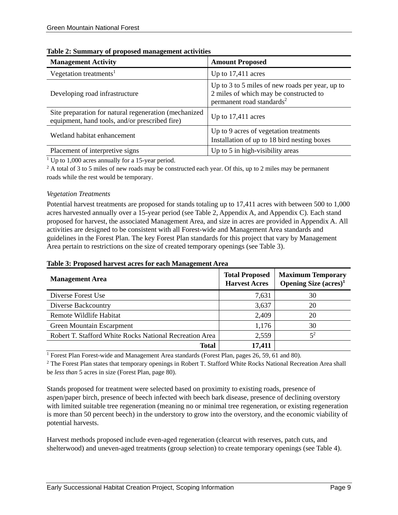| <b>Management Activity</b>                                                                               | <b>Amount Proposed</b>                                                                                                             |
|----------------------------------------------------------------------------------------------------------|------------------------------------------------------------------------------------------------------------------------------------|
| Vegetation treatments <sup>1</sup>                                                                       | Up to $17,411$ acres                                                                                                               |
| Developing road infrastructure                                                                           | Up to 3 to 5 miles of new roads per year, up to<br>2 miles of which may be constructed to<br>permanent road standards <sup>2</sup> |
| Site preparation for natural regeneration (mechanized)<br>equipment, hand tools, and/or prescribed fire) | Up to $17,411$ acres                                                                                                               |
| Wetland habitat enhancement                                                                              | Up to 9 acres of vegetation treatments<br>Installation of up to 18 bird nesting boxes                                              |
| Placement of interpretive signs                                                                          | Up to 5 in high-visibility areas                                                                                                   |

|  |  | Table 2: Summary of proposed management activities |  |
|--|--|----------------------------------------------------|--|
|--|--|----------------------------------------------------|--|

<sup>1</sup> Up to 1,000 acres annually for a 15-year period.

<sup>2</sup> A total of 3 to 5 miles of new roads may be constructed each year. Of this, up to 2 miles may be permanent roads while the rest would be temporary.

#### *Vegetation Treatments*

Potential harvest treatments are proposed for stands totaling up to 17,411 acres with between 500 to 1,000 acres harvested annually over a 15-year period (see Table 2, Appendix A, and Appendix C). Each stand proposed for harvest, the associated Management Area, and size in acres are provided in Appendix A. All activities are designed to be consistent with all Forest-wide and Management Area standards and guidelines in the Forest Plan. The key Forest Plan standards for this project that vary by Management Area pertain to restrictions on the size of created temporary openings (see Table 3).

|  |  |  |  |  |  | Table 3: Proposed harvest acres for each Management Area |
|--|--|--|--|--|--|----------------------------------------------------------|
|--|--|--|--|--|--|----------------------------------------------------------|

| <b>Management Area</b>                                  | <b>Total Proposed</b><br><b>Harvest Acres</b> | <b>Maximum Temporary</b><br><b>Opening Size <math>(\text{acres})^1</math></b> |
|---------------------------------------------------------|-----------------------------------------------|-------------------------------------------------------------------------------|
| Diverse Forest Use                                      | 7,631                                         | 30                                                                            |
| Diverse Backcountry                                     | 3,637                                         | 20                                                                            |
| Remote Wildlife Habitat                                 | 2,409                                         | 20                                                                            |
| Green Mountain Escarpment                               | 1,176                                         | 30                                                                            |
| Robert T. Stafford White Rocks National Recreation Area | 2,559                                         | $5^2$                                                                         |
| Total                                                   | 17,411                                        |                                                                               |

<sup>1</sup> Forest Plan Forest-wide and Management Area standards (Forest Plan, pages 26, 59, 61 and 80).

<sup>2</sup> The Forest Plan states that temporary openings in Robert T. Stafford White Rocks National Recreation Area shall be *less than* 5 acres in size (Forest Plan, page 80).

Stands proposed for treatment were selected based on proximity to existing roads, presence of aspen/paper birch, presence of beech infected with beech bark disease, presence of declining overstory with limited suitable tree regeneration (meaning no or minimal tree regeneration, or existing regeneration is more than 50 percent beech) in the understory to grow into the overstory, and the economic viability of potential harvests.

Harvest methods proposed include even-aged regeneration (clearcut with reserves, patch cuts, and shelterwood) and uneven-aged treatments (group selection) to create temporary openings (see Table 4).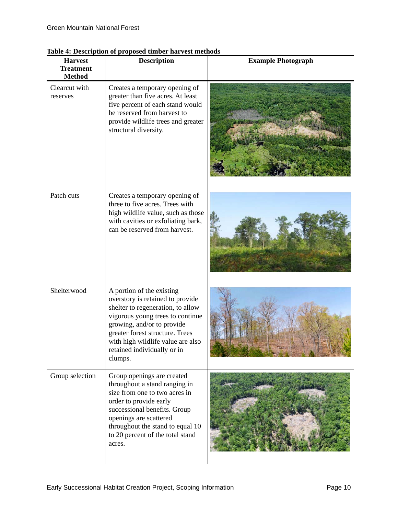| <b>Harvest</b><br><b>Treatment</b><br><b>Method</b> | $\mu$ Description or proposed annot<br><b>Description</b>                                                                                                                                                                                                                              | <b>Example Photograph</b> |
|-----------------------------------------------------|----------------------------------------------------------------------------------------------------------------------------------------------------------------------------------------------------------------------------------------------------------------------------------------|---------------------------|
| Clearcut with<br>reserves                           | Creates a temporary opening of<br>greater than five acres. At least<br>five percent of each stand would<br>be reserved from harvest to<br>provide wildlife trees and greater<br>structural diversity.                                                                                  |                           |
| Patch cuts                                          | Creates a temporary opening of<br>three to five acres. Trees with<br>high wildlife value, such as those<br>with cavities or exfoliating bark,<br>can be reserved from harvest.                                                                                                         |                           |
| Shelterwood                                         | A portion of the existing<br>overstory is retained to provide<br>shelter to regeneration, to allow<br>vigorous young trees to continue<br>growing, and/or to provide<br>greater forest structure. Trees<br>with high wildlife value are also<br>retained individually or in<br>clumps. |                           |
| Group selection                                     | Group openings are created<br>throughout a stand ranging in<br>size from one to two acres in<br>order to provide early<br>successional benefits. Group<br>openings are scattered<br>throughout the stand to equal 10<br>to 20 percent of the total stand<br>acres.                     |                           |

#### **Table 4: Description of proposed timber harvest methods**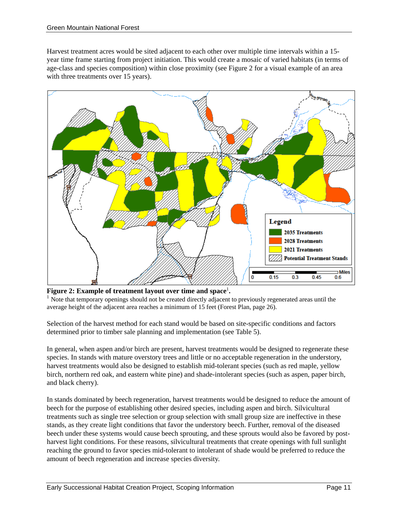Harvest treatment acres would be sited adjacent to each other over multiple time intervals within a 15 year time frame starting from project initiation. This would create a mosaic of varied habitats (in terms of age-class and species composition) within close proximity (see Figure 2 for a visual example of an area with three treatments over 15 years).



Figure 2: Example of treatment layout over time and space<sup>1</sup>.

 $<sup>1</sup>$  Note that temporary openings should not be created directly adjacent to previously regenerated areas until the</sup> average height of the adjacent area reaches a minimum of 15 feet (Forest Plan, page 26).

Selection of the harvest method for each stand would be based on site-specific conditions and factors determined prior to timber sale planning and implementation (see Table 5).

In general, when aspen and/or birch are present, harvest treatments would be designed to regenerate these species. In stands with mature overstory trees and little or no acceptable regeneration in the understory, harvest treatments would also be designed to establish mid-tolerant species (such as red maple, yellow birch, northern red oak, and eastern white pine) and shade-intolerant species (such as aspen, paper birch, and black cherry).

In stands dominated by beech regeneration, harvest treatments would be designed to reduce the amount of beech for the purpose of establishing other desired species, including aspen and birch. Silvicultural treatments such as single tree selection or group selection with small group size are ineffective in these stands, as they create light conditions that favor the understory beech. Further, removal of the diseased beech under these systems would cause beech sprouting, and these sprouts would also be favored by postharvest light conditions. For these reasons, silvicultural treatments that create openings with full sunlight reaching the ground to favor species mid-tolerant to intolerant of shade would be preferred to reduce the amount of beech regeneration and increase species diversity.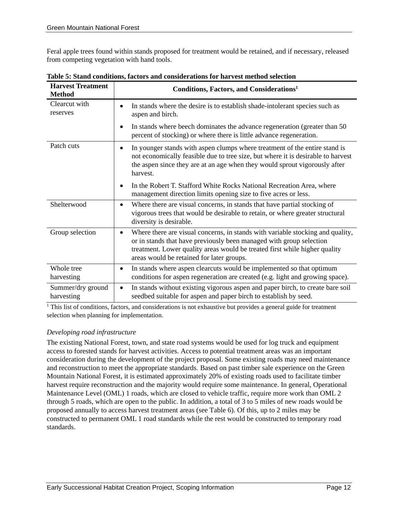Feral apple trees found within stands proposed for treatment would be retained, and if necessary, released from competing vegetation with hand tools.

| <b>Harvest Treatment</b><br><b>Method</b> | Conditions, Factors, and Considerations <sup>1</sup>                                                                                                                                                                                                                             |  |  |
|-------------------------------------------|----------------------------------------------------------------------------------------------------------------------------------------------------------------------------------------------------------------------------------------------------------------------------------|--|--|
| Clearcut with<br>reserves                 | In stands where the desire is to establish shade-intolerant species such as<br>aspen and birch.                                                                                                                                                                                  |  |  |
|                                           | In stands where beech dominates the advance regeneration (greater than 50)<br>٠<br>percent of stocking) or where there is little advance regeneration.                                                                                                                           |  |  |
| Patch cuts                                | In younger stands with aspen clumps where treatment of the entire stand is<br>not economically feasible due to tree size, but where it is desirable to harvest<br>the aspen since they are at an age when they would sprout vigorously after<br>harvest.                         |  |  |
|                                           | In the Robert T. Stafford White Rocks National Recreation Area, where<br>$\bullet$<br>management direction limits opening size to five acres or less.                                                                                                                            |  |  |
| Shelterwood                               | Where there are visual concerns, in stands that have partial stocking of<br>$\bullet$<br>vigorous trees that would be desirable to retain, or where greater structural<br>diversity is desirable.                                                                                |  |  |
| Group selection                           | Where there are visual concerns, in stands with variable stocking and quality,<br>or in stands that have previously been managed with group selection<br>treatment. Lower quality areas would be treated first while higher quality<br>areas would be retained for later groups. |  |  |
| Whole tree<br>harvesting                  | In stands where aspen clearcuts would be implemented so that optimum<br>$\bullet$<br>conditions for aspen regeneration are created (e.g. light and growing space).                                                                                                               |  |  |
| Summer/dry ground<br>harvesting           | In stands without existing vigorous aspen and paper birch, to create bare soil<br>$\bullet$<br>seedbed suitable for aspen and paper birch to establish by seed.                                                                                                                  |  |  |

**Table 5: Stand conditions, factors and considerations for harvest method selection**

<sup>1</sup> This list of conditions, factors, and considerations is not exhaustive but provides a general guide for treatment selection when planning for implementation.

#### *Developing road infrastructure*

The existing National Forest, town, and state road systems would be used for log truck and equipment access to forested stands for harvest activities. Access to potential treatment areas was an important consideration during the development of the project proposal. Some existing roads may need maintenance and reconstruction to meet the appropriate standards. Based on past timber sale experience on the Green Mountain National Forest, it is estimated approximately 20% of existing roads used to facilitate timber harvest require reconstruction and the majority would require some maintenance. In general, Operational Maintenance Level (OML) 1 roads, which are closed to vehicle traffic, require more work than OML 2 through 5 roads, which are open to the public. In addition, a total of 3 to 5 miles of new roads would be proposed annually to access harvest treatment areas (see Table 6). Of this, up to 2 miles may be constructed to permanent OML 1 road standards while the rest would be constructed to temporary road standards.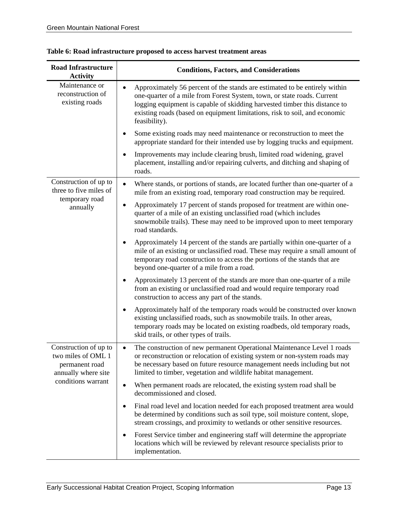| <b>Road Infrastructure</b><br><b>Activity</b>                                                              | <b>Conditions, Factors, and Considerations</b>                                                                                                                                                                                                                                                                                                  |  |  |  |
|------------------------------------------------------------------------------------------------------------|-------------------------------------------------------------------------------------------------------------------------------------------------------------------------------------------------------------------------------------------------------------------------------------------------------------------------------------------------|--|--|--|
| Maintenance or<br>reconstruction of<br>existing roads                                                      | Approximately 56 percent of the stands are estimated to be entirely within<br>$\bullet$<br>one-quarter of a mile from Forest System, town, or state roads. Current<br>logging equipment is capable of skidding harvested timber this distance to<br>existing roads (based on equipment limitations, risk to soil, and economic<br>feasibility). |  |  |  |
|                                                                                                            | Some existing roads may need maintenance or reconstruction to meet the<br>٠<br>appropriate standard for their intended use by logging trucks and equipment.                                                                                                                                                                                     |  |  |  |
|                                                                                                            | Improvements may include clearing brush, limited road widening, gravel<br>$\bullet$<br>placement, installing and/or repairing culverts, and ditching and shaping of<br>roads.                                                                                                                                                                   |  |  |  |
| Construction of up to<br>three to five miles of<br>temporary road<br>annually                              | Where stands, or portions of stands, are located further than one-quarter of a<br>$\bullet$<br>mile from an existing road, temporary road construction may be required.                                                                                                                                                                         |  |  |  |
|                                                                                                            | Approximately 17 percent of stands proposed for treatment are within one-<br>$\bullet$<br>quarter of a mile of an existing unclassified road (which includes<br>snowmobile trails). These may need to be improved upon to meet temporary<br>road standards.                                                                                     |  |  |  |
|                                                                                                            | Approximately 14 percent of the stands are partially within one-quarter of a<br>$\bullet$<br>mile of an existing or unclassified road. These may require a small amount of<br>temporary road construction to access the portions of the stands that are<br>beyond one-quarter of a mile from a road.                                            |  |  |  |
|                                                                                                            | Approximately 13 percent of the stands are more than one-quarter of a mile<br>$\bullet$<br>from an existing or unclassified road and would require temporary road<br>construction to access any part of the stands.                                                                                                                             |  |  |  |
|                                                                                                            | Approximately half of the temporary roads would be constructed over known<br>$\bullet$<br>existing unclassified roads, such as snowmobile trails. In other areas,<br>temporary roads may be located on existing roadbeds, old temporary roads,<br>skid trails, or other types of trails.                                                        |  |  |  |
| Construction of up to<br>two miles of OML 1<br>permanent road<br>annually where site<br>conditions warrant | The construction of new permanent Operational Maintenance Level 1 roads<br>$\bullet$<br>or reconstruction or relocation of existing system or non-system roads may<br>be necessary based on future resource management needs including but not<br>limited to timber, vegetation and wildlife habitat management.                                |  |  |  |
|                                                                                                            | When permanent roads are relocated, the existing system road shall be<br>$\bullet$<br>decommissioned and closed.                                                                                                                                                                                                                                |  |  |  |
|                                                                                                            | Final road level and location needed for each proposed treatment area would<br>٠<br>be determined by conditions such as soil type, soil moisture content, slope,<br>stream crossings, and proximity to wetlands or other sensitive resources.                                                                                                   |  |  |  |
|                                                                                                            | Forest Service timber and engineering staff will determine the appropriate<br>$\bullet$<br>locations which will be reviewed by relevant resource specialists prior to<br>implementation.                                                                                                                                                        |  |  |  |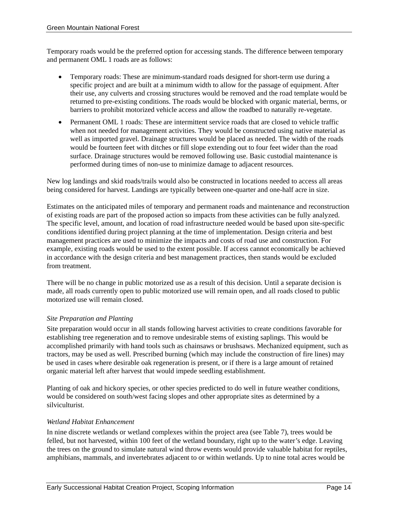Temporary roads would be the preferred option for accessing stands. The difference between temporary and permanent OML 1 roads are as follows:

- Temporary roads: These are minimum-standard roads designed for short-term use during a specific project and are built at a minimum width to allow for the passage of equipment. After their use, any culverts and crossing structures would be removed and the road template would be returned to pre-existing conditions. The roads would be blocked with organic material, berms, or barriers to prohibit motorized vehicle access and allow the roadbed to naturally re-vegetate.
- Permanent OML 1 roads: These are intermittent service roads that are closed to vehicle traffic when not needed for management activities. They would be constructed using native material as well as imported gravel. Drainage structures would be placed as needed. The width of the roads would be fourteen feet with ditches or fill slope extending out to four feet wider than the road surface. Drainage structures would be removed following use. Basic custodial maintenance is performed during times of non-use to minimize damage to adjacent resources.

New log landings and skid roads/trails would also be constructed in locations needed to access all areas being considered for harvest. Landings are typically between one-quarter and one-half acre in size.

Estimates on the anticipated miles of temporary and permanent roads and maintenance and reconstruction of existing roads are part of the proposed action so impacts from these activities can be fully analyzed. The specific level, amount, and location of road infrastructure needed would be based upon site-specific conditions identified during project planning at the time of implementation. Design criteria and best management practices are used to minimize the impacts and costs of road use and construction. For example, existing roads would be used to the extent possible. If access cannot economically be achieved in accordance with the design criteria and best management practices, then stands would be excluded from treatment.

There will be no change in public motorized use as a result of this decision. Until a separate decision is made, all roads currently open to public motorized use will remain open, and all roads closed to public motorized use will remain closed.

#### *Site Preparation and Planting*

Site preparation would occur in all stands following harvest activities to create conditions favorable for establishing tree regeneration and to remove undesirable stems of existing saplings. This would be accomplished primarily with hand tools such as chainsaws or brushsaws. Mechanized equipment, such as tractors, may be used as well. Prescribed burning (which may include the construction of fire lines) may be used in cases where desirable oak regeneration is present, or if there is a large amount of retained organic material left after harvest that would impede seedling establishment.

Planting of oak and hickory species, or other species predicted to do well in future weather conditions, would be considered on south/west facing slopes and other appropriate sites as determined by a silviculturist.

#### *Wetland Habitat Enhancement*

In nine discrete wetlands or wetland complexes within the project area (see Table 7), trees would be felled, but not harvested, within 100 feet of the wetland boundary, right up to the water's edge. Leaving the trees on the ground to simulate natural wind throw events would provide valuable habitat for reptiles, amphibians, mammals, and invertebrates adjacent to or within wetlands. Up to nine total acres would be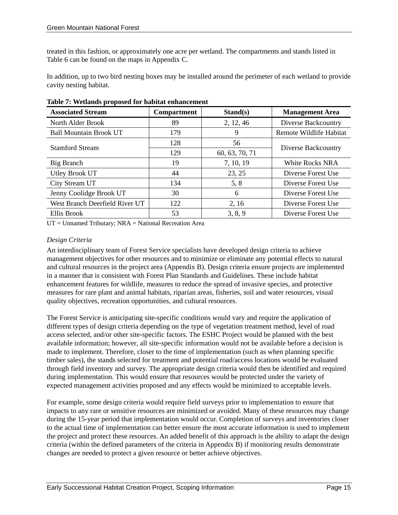treated in this fashion, or approximately one acre per wetland. The compartments and stands listed in Table 6 can be found on the maps in Appendix C.

In addition, up to two bird nesting boxes may be installed around the perimeter of each wetland to provide cavity nesting habitat.

| <b>Associated Stream</b>       | Stand(s)<br><b>Compartment</b> |                | <b>Management Area</b>  |  |
|--------------------------------|--------------------------------|----------------|-------------------------|--|
| North Alder Brook              | 89                             | 2, 12, 46      | Diverse Backcountry     |  |
| <b>Ball Mountain Brook UT</b>  | 179                            | 9              | Remote Wildlife Habitat |  |
| <b>Stamford Stream</b>         | 128                            | 56             |                         |  |
|                                | 129                            | 60, 63, 70, 71 | Diverse Backcountry     |  |
| Big Branch                     | 19                             | 7, 10, 19      | White Rocks NRA         |  |
| <b>Utley Brook UT</b>          | 44                             | 23, 25         | Diverse Forest Use      |  |
| City Stream UT                 | 134                            | 5, 8           | Diverse Forest Use      |  |
| Jenny Coolidge Brook UT        | 30                             | 6              | Diverse Forest Use      |  |
| West Branch Deerfield River UT | 122                            | 2, 16          | Diverse Forest Use      |  |
| Ellis Brook                    | 53                             | 3, 8, 9        | Diverse Forest Use      |  |

**Table 7: Wetlands proposed for habitat enhancement** 

UT = Unnamed Tributary; NRA = National Recreation Area

#### *Design Criteria*

An interdisciplinary team of Forest Service specialists have developed design criteria to achieve management objectives for other resources and to minimize or eliminate any potential effects to natural and cultural resources in the project area (Appendix B). Design criteria ensure projects are implemented in a manner that is consistent with Forest Plan Standards and Guidelines. These include habitat enhancement features for wildlife, measures to reduce the spread of invasive species, and protective measures for rare plant and animal habitats, riparian areas, fisheries, soil and water resources, visual quality objectives, recreation opportunities, and cultural resources.

The Forest Service is anticipating site-specific conditions would vary and require the application of different types of design criteria depending on the type of vegetation treatment method, level of road access selected, and/or other site-specific factors. The ESHC Project would be planned with the best available information; however, all site-specific information would not be available before a decision is made to implement. Therefore, closer to the time of implementation (such as when planning specific timber sales), the stands selected for treatment and potential road/access locations would be evaluated through field inventory and survey. The appropriate design criteria would then be identified and required during implementation. This would ensure that resources would be protected under the variety of expected management activities proposed and any effects would be minimized to acceptable levels.

For example, some design criteria would require field surveys prior to implementation to ensure that impacts to any rare or sensitive resources are minimized or avoided. Many of these resources may change during the 15-year period that implementation would occur. Completion of surveys and inventories closer to the actual time of implementation can better ensure the most accurate information is used to implement the project and protect these resources. An added benefit of this approach is the ability to adapt the design criteria (within the defined parameters of the criteria in Appendix B) if monitoring results demonstrate changes are needed to protect a given resource or better achieve objectives.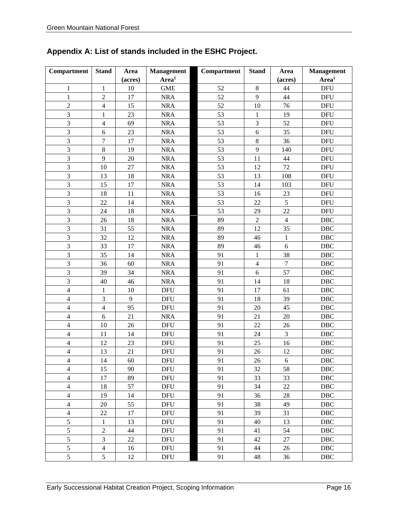| Compartment              | <b>Stand</b>            | Area    | <b>Management</b> | Compartment | <b>Stand</b>   | Area             | <b>Management</b>           |
|--------------------------|-------------------------|---------|-------------------|-------------|----------------|------------------|-----------------------------|
|                          |                         | (acres) | Area <sup>1</sup> |             |                | (acres)          | Area <sup>1</sup>           |
| $\mathbf{1}$             | $\mathbf{1}$            | 10      | <b>GME</b>        | 52          | $\,8\,$        | 44               | $\ensuremath{\mathsf{DFU}}$ |
| $\mathbf{1}$             | $\sqrt{2}$              | 17      | <b>NRA</b>        | 52          | 9              | 44               | <b>DFU</b>                  |
| $\overline{2}$           | $\overline{4}$          | 15      | $\rm NRA$         | 52          | 10             | 76               | <b>DFU</b>                  |
| $\overline{3}$           | 1                       | 23      | <b>NRA</b>        | 53          | $\mathbf{1}$   | 19               | <b>DFU</b>                  |
| 3                        | $\overline{\mathbf{4}}$ | 69      | <b>NRA</b>        | 53          | 3              | 52               | <b>DFU</b>                  |
| 3                        | 6                       | 23      | <b>NRA</b>        | 53          | $\sqrt{6}$     | 35               | <b>DFU</b>                  |
| 3                        | $\overline{7}$          | 17      | <b>NRA</b>        | 53          | $\,8\,$        | 36               | <b>DFU</b>                  |
| 3                        | $8\,$                   | 19      | <b>NRA</b>        | 53          | 9              | 140              | <b>DFU</b>                  |
| 3                        | 9                       | 20      | <b>NRA</b>        | 53          | 11             | 44               | <b>DFU</b>                  |
| $\overline{\mathbf{3}}$  | 10                      | 27      | <b>NRA</b>        | 53          | 12             | 72               | <b>DFU</b>                  |
| 3                        | 13                      | 18      | $\rm NRA$         | 53          | 13             | 108              | <b>DFU</b>                  |
| $\overline{3}$           | 15                      | 17      | <b>NRA</b>        | 53          | 14             | 103              | <b>DFU</b>                  |
| $\overline{\mathbf{3}}$  | 18                      | 11      | <b>NRA</b>        | 53          | 16             | 23               | <b>DFU</b>                  |
| 3                        | 22                      | 14      | <b>NRA</b>        | 53          | 22             | 5                | <b>DFU</b>                  |
| $\overline{3}$           | 24                      | 18      | <b>NRA</b>        | 53          | 29             | 22               | <b>DFU</b>                  |
| 3                        | 26                      | 18      | <b>NRA</b>        | 89          | $\sqrt{2}$     | $\overline{4}$   | DBC                         |
| 3                        | 31                      | 55      | <b>NRA</b>        | 89          | 12             | 35               | $\rm DBC$                   |
| 3                        | 32                      | 12      | <b>NRA</b>        | 89          | 46             | $\mathbf{1}$     | DBC                         |
| $\overline{3}$           | 33                      | 17      | <b>NRA</b>        | 89          | $46\,$         | $\sqrt{6}$       | $\rm DBC$                   |
| 3                        | 35                      | 14      | <b>NRA</b>        | 91          | $\mathbf{1}$   | 38               | $\rm DBC$                   |
| $\overline{\mathbf{3}}$  | 36                      | 60      | <b>NRA</b>        | 91          | $\overline{4}$ | $\overline{7}$   | $\rm DBC$                   |
| 3                        | 39                      | 34      | <b>NRA</b>        | 91          | 6              | 57               | $\rm DBC$                   |
| $\overline{3}$           | 40                      | 46      | <b>NRA</b>        | 91          | 14             | 18               | $\rm DBC$                   |
| $\overline{4}$           | 1                       | 10      | <b>DFU</b>        | 91          | 17             | 61               | $\rm DBC$                   |
| $\overline{\mathcal{L}}$ | 3                       | 9       | <b>DFU</b>        | 91          | 18             | 39               | $\rm DBC$                   |
| $\overline{\mathcal{L}}$ | $\overline{4}$          | 95      | <b>DFU</b>        | 91          | 20             | 45               | $\rm DBC$                   |
| $\overline{4}$           | 6                       | 21      | <b>NRA</b>        | 91          | 21             | 20               | $\rm DBC$                   |
| $\overline{\mathcal{L}}$ | 10                      | 26      | <b>DFU</b>        | 91          | 22             | 26               | DBC                         |
| $\overline{\mathcal{L}}$ | 11                      | 14      | <b>DFU</b>        | 91          | 24             | 3                | $\rm DBC$                   |
| $\overline{4}$           | 12                      | 23      | <b>DFU</b>        | 91          | 25             | 16               | $\rm DBC$                   |
| $\overline{4}$           | 13                      | 21      | <b>DFU</b>        | 91          | 26             | 12               | DBC                         |
| $\overline{4}$           | 14                      | 60      | DFU               | 91          | 26             | $\boldsymbol{6}$ | DBC                         |
| $\overline{4}$           | 15                      | 90      | <b>DFU</b>        | 91          | 32             | 58               | DBC                         |
| $\overline{4}$           | 17                      | 89      | <b>DFU</b>        | 91          | 33             | 33               | $\rm DBC$                   |
| $\overline{4}$           | 18                      | 57      | <b>DFU</b>        | 91          | 34             | $22\,$           | DBC                         |
| $\overline{4}$           | 19                      | 14      | <b>DFU</b>        | 91          | 36             | 28               | DBC                         |
| $\overline{4}$           | $20\,$                  | 55      | <b>DFU</b>        | 91          | 38             | 49               | DBC                         |
| $\overline{4}$           | 22                      | 17      | <b>DFU</b>        | 91          | 39             | 31               | <b>DBC</b>                  |
| 5                        | $\mathbf{1}$            | 13      | <b>DFU</b>        | 91          | 40             | 13               | DBC                         |
| $\sqrt{5}$               | $\overline{2}$          | 44      | <b>DFU</b>        | 91          | 41             | 54               | DBC                         |
| $\sqrt{5}$               | 3                       | 22      | <b>DFU</b>        | 91          | 42             | $27\,$           | DBC                         |
| $\sqrt{5}$               | $\overline{4}$          | 16      | <b>DFU</b>        | 91          | 44             | 26               | DBC                         |
| $\overline{5}$           | 5                       | 12      | <b>DFU</b>        | 91          | 48             | 36               | DBC                         |

### **Appendix A: List of stands included in the ESHC Project.**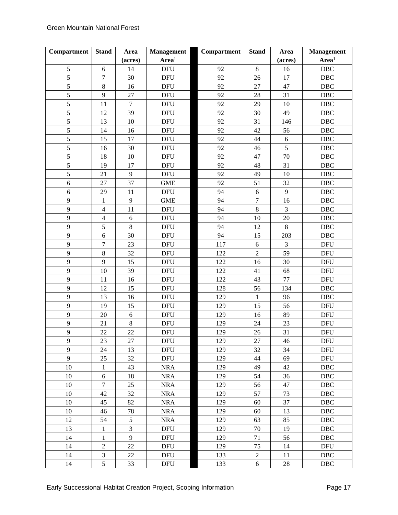| Compartment | <b>Stand</b>     | Area           | <b>Management</b> | Compartment | <b>Stand</b>     | Area    | <b>Management</b> |
|-------------|------------------|----------------|-------------------|-------------|------------------|---------|-------------------|
|             |                  | (acres)        | Area <sup>1</sup> |             |                  | (acres) | Area <sup>1</sup> |
| $\sqrt{5}$  | 6                | 14             | <b>DFU</b>        | 92          | $8\,$            | 16      | DBC               |
| 5           | $\boldsymbol{7}$ | 30             | <b>DFU</b>        | 92          | 26               | 17      | $\rm DBC$         |
| 5           | $8\,$            | 16             | <b>DFU</b>        | 92          | 27               | 47      | DBC               |
| 5           | 9                | 27             | <b>DFU</b>        | 92          | 28               | 31      | DBC               |
| 5           | 11               | $\overline{7}$ | <b>DFU</b>        | 92          | 29               | 10      | DBC               |
| 5           | 12               | 39             | <b>DFU</b>        | 92          | 30               | 49      | $\rm DBC$         |
| 5           | 13               | $10\,$         | <b>DFU</b>        | 92          | 31               | 146     | DBC               |
| 5           | 14               | 16             | <b>DFU</b>        | 92          | 42               | 56      | DBC               |
| 5           | 15               | 17             | <b>DFU</b>        | 92          | 44               | 6       | DBC               |
| 5           | 16               | 30             | <b>DFU</b>        | 92          | 46               | 5       | $\rm DBC$         |
| 5           | 18               | 10             | <b>DFU</b>        | 92          | 47               | 70      | DBC               |
| 5           | 19               | 17             | <b>DFU</b>        | 92          | 48               | 31      | DBC               |
| 5           | 21               | 9              | <b>DFU</b>        | 92          | 49               | 10      | DBC               |
| 6           | 27               | 37             | <b>GME</b>        | 92          | 51               | 32      | <b>DBC</b>        |
| 6           | 29               | 11             | <b>DFU</b>        | 94          | $\sqrt{6}$       | 9       | DBC               |
| 9           | $\mathbf{1}$     | 9              | <b>GME</b>        | 94          | $\overline{7}$   | 16      | DBC               |
| 9           | $\overline{4}$   | 11             | <b>DFU</b>        | 94          | $\,8\,$          | 3       | DBC               |
| 9           | $\overline{4}$   | $\sqrt{6}$     | <b>DFU</b>        | 94          | 10               | $20\,$  | $\rm DBC$         |
| 9           | 5                | $\,8\,$        | <b>DFU</b>        | 94          | 12               | $\,8\,$ | DBC               |
| 9           | 6                | 30             | <b>DFU</b>        | 94          | 15               | 203     | DBC               |
| 9           | $\overline{7}$   | 23             | <b>DFU</b>        | 117         | $\sqrt{6}$       | 3       | <b>DFU</b>        |
| 9           | $\,8$            | 32             | <b>DFU</b>        | 122         | $\overline{c}$   | 59      | <b>DFU</b>        |
| 9           | 9                | 15             | <b>DFU</b>        | 122         | 16               | 30      | <b>DFU</b>        |
| 9           | 10               | 39             | <b>DFU</b>        | 122         | 41               | 68      | <b>DFU</b>        |
| 9           | 11               | 16             | <b>DFU</b>        | 122         | 43               | 77      | <b>DFU</b>        |
| 9           | 12               | 15             | <b>DFU</b>        | 128         | 56               | 134     | <b>DBC</b>        |
| 9           | 13               | 16             | <b>DFU</b>        | 129         | $\mathbf{1}$     | 96      | DBC               |
| 9           | 19               | 15             | <b>DFU</b>        | 129         | 15               | 56      | <b>DFU</b>        |
| 9           | 20               | 6              | <b>DFU</b>        | 129         | 16               | 89      | <b>DFU</b>        |
| 9           | 21               | $\,8\,$        | <b>DFU</b>        | 129         | 24               | 23      | <b>DFU</b>        |
| 9           | 22               | 22             | <b>DFU</b>        | 129         | 26               | 31      | <b>DFU</b>        |
| 9           | 23               | 27             | <b>DFU</b>        | 129         | 27               | 46      | <b>DFU</b>        |
| 9           | 24               | 13             | <b>DFU</b>        | 129         | 32               | 34      | <b>DFU</b>        |
| 9           | 25               | 32             | <b>DFU</b>        | 129         | 44               | 69      | <b>DFU</b>        |
| $10\,$      | $\mathbf{1}$     | 43             | $\rm NRA$         | 129         | 49               | 42      | DBC               |
| $10\,$      | 6                | 18             | <b>NRA</b>        | 129         | 54               | 36      | <b>DBC</b>        |
| 10          | $\overline{7}$   | 25             | <b>NRA</b>        | 129         | 56               | 47      | $\rm DBC$         |
| $10\,$      | 42               | 32             | <b>NRA</b>        | 129         | 57               | 73      | DBC               |
| $10\,$      | 45               | 82             | <b>NRA</b>        | 129         | 60               | 37      | DBC               |
| $10\,$      | 46               | 78             | <b>NRA</b>        | 129         | 60               | 13      | DBC               |
| 12          | 54               | 5              | <b>NRA</b>        | 129         | 63               | 85      | $\rm DBC$         |
| 13          | $\,1$            | $\mathfrak{Z}$ | <b>DFU</b>        | 129         | $70\,$           | 19      | DBC               |
| 14          | $\,1$            | 9              | DFU               | 129         | 71               | 56      | DBC               |
| 14          | $\overline{c}$   | 22             | DFU               | 129         | 75               | 14      | <b>DFU</b>        |
| 14          | 3                | 22             | DFU               | 133         | $\boldsymbol{2}$ | 11      | DBC               |
| 14          | 5                | 33             | DFU               | 133         | $6\,$            | 28      | DBC               |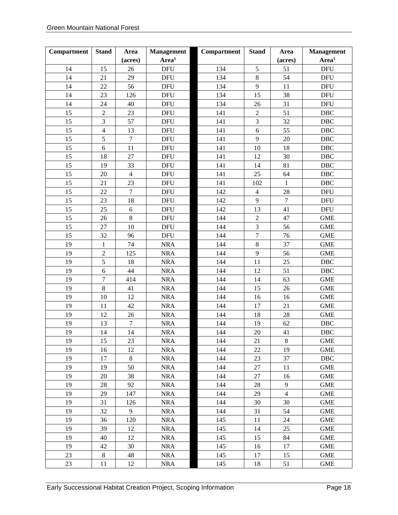| Compartment | <b>Stand</b>     | Area             | <b>Management</b> | Compartment | <b>Stand</b>   | Area           | <b>Management</b> |
|-------------|------------------|------------------|-------------------|-------------|----------------|----------------|-------------------|
|             |                  | (acres)          | $\mathbf{Area}^1$ |             |                | (acres)        | Area <sup>1</sup> |
| 14          | 15               | 26               | <b>DFU</b>        | 134         | 5              | 51             | <b>DFU</b>        |
| 14          | 21               | 29               | <b>DFU</b>        | 134         | 8              | 54             | <b>DFU</b>        |
| 14          | 22               | 56               | <b>DFU</b>        | 134         | 9              | 11             | <b>DFU</b>        |
| 14          | 23               | 126              | <b>DFU</b>        | 134         | 15             | 38             | <b>DFU</b>        |
| 14          | 24               | 40               | <b>DFU</b>        | 134         | 26             | 31             | <b>DFU</b>        |
| 15          | $\overline{c}$   | 23               | <b>DFU</b>        | 141         | $\sqrt{2}$     | 51             | $\rm DBC$         |
| 15          | 3                | 57               | <b>DFU</b>        | 141         | 3              | 32             | DBC               |
| 15          | $\overline{4}$   | 13               | <b>DFU</b>        | 141         | 6              | 55             | DBC               |
| 15          | 5                | $\boldsymbol{7}$ | <b>DFU</b>        | 141         | 9              | 20             | DBC               |
| 15          | $\sqrt{6}$       | 11               | <b>DFU</b>        | 141         | 10             | 18             | $\rm DBC$         |
| 15          | 18               | 27               | <b>DFU</b>        | 141         | 12             | 30             | DBC               |
| 15          | 19               | 33               | <b>DFU</b>        | 141         | 14             | 81             | DBC               |
| 15          | 20               | $\overline{4}$   | <b>DFU</b>        | 141         | 25             | 64             | DBC               |
| 15          | 21               | 23               | <b>DFU</b>        | 141         | 102            | $\,1\,$        | $\rm DBC$         |
| 15          | 22               | $\tau$           | <b>DFU</b>        | 142         | $\overline{4}$ | 28             | <b>DFU</b>        |
| 15          | 23               | 18               | <b>DFU</b>        | 142         | 9              | $\overline{7}$ | <b>DFU</b>        |
| 15          | 25               | 6                | <b>DFU</b>        | 142         | 13             | 41             | <b>DFU</b>        |
| 15          | 26               | $\,8\,$          | <b>DFU</b>        | 144         | $\overline{c}$ | 47             | <b>GME</b>        |
| 15          | 27               | 10               | <b>DFU</b>        | 144         | $\overline{3}$ | 56             | <b>GME</b>        |
| 15          | 32               | 96               | <b>DFU</b>        | 144         | $\overline{7}$ | 76             | <b>GME</b>        |
| 19          | $\mathbf{1}$     | 74               | <b>NRA</b>        | 144         | $8\,$          | 37             | <b>GME</b>        |
| 19          | $\overline{c}$   | 125              | <b>NRA</b>        | 144         | 9              | 56             | <b>GME</b>        |
| 19          | 5                | 18               | <b>NRA</b>        | 144         | 11             | 25             | DBC               |
| 19          | $\sqrt{6}$       | 44               | <b>NRA</b>        | 144         | 12             | 51             | DBC               |
| 19          | $\boldsymbol{7}$ | 414              | <b>NRA</b>        | 144         | 14             | 63             | <b>GME</b>        |
| 19          | $\overline{8}$   | 41               | <b>NRA</b>        | 144         | 15             | 26             | <b>GME</b>        |
| 19          | 10               | 12               | <b>NRA</b>        | 144         | 16             | 16             | <b>GME</b>        |
| 19          | 11               | 42               | <b>NRA</b>        | 144         | 17             | 21             | <b>GME</b>        |
| 19          | 12               | 26               | <b>NRA</b>        | 144         | 18             | 28             | <b>GME</b>        |
| 19          | 13               | $\boldsymbol{7}$ | <b>NRA</b>        | 144         | 19             | 62             | $\rm DBC$         |
| 19          | 14               | 14               | <b>NRA</b>        | 144         | 20             | 41             | DBC               |
| 19          | 15               | 23               | $\rm NRA$         | 144         | 21             | $8\,$          | <b>GME</b>        |
| 19          | 16               | 12               | <b>NRA</b>        | 144         | 22             | 19             | <b>GME</b>        |
| 19          | 17               | $8\,$            | <b>NRA</b>        | 144         | 23             | 37             | <b>DBC</b>        |
| 19          | 19               | 50               | <b>NRA</b>        | 144         | 27             | 11             | <b>GME</b>        |
| 19          | 20               | 38               | <b>NRA</b>        | 144         | 27             | 16             | <b>GME</b>        |
| 19          | 28               | 92               | $\rm NRA$         | 144         | 28             | 9              | <b>GME</b>        |
| 19          | 29               | 147              | <b>NRA</b>        | 144         | 29             | $\overline{4}$ | <b>GME</b>        |
| 19          | 31               | 126              | <b>NRA</b>        | 144         | 30             | 30             | <b>GME</b>        |
| 19          | 32               | 9                | <b>NRA</b>        | 144         | 31             | 54             | <b>GME</b>        |
| 19          | 36               | 120              | <b>NRA</b>        | 145         | 11             | 24             | <b>GME</b>        |
| 19          | 39               | 12               | <b>NRA</b>        | 145         | 14             | 25             | <b>GME</b>        |
| 19          | 40               | 12               | <b>NRA</b>        | 145         | 15             | 84             | <b>GME</b>        |
| 19          | 42               | 30               | $\rm NRA$         | 145         | 16             | 17             | <b>GME</b>        |
| 23          | 8                | 48               | <b>NRA</b>        | 145         | 17             | 15             | <b>GME</b>        |
| 23          | 11               | 12               | <b>NRA</b>        | 145         | 18             | 51             | <b>GME</b>        |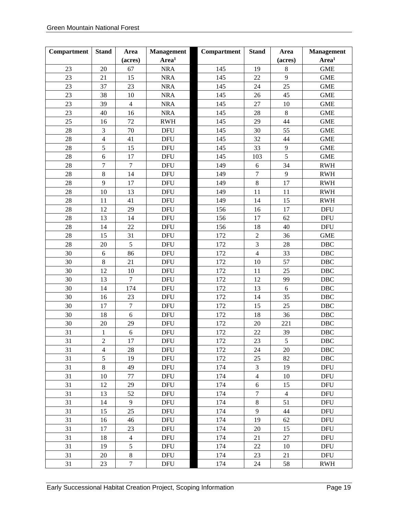| Compartment | <b>Stand</b>     | Area           | <b>Management</b> | Compartment | <b>Stand</b>     | Area           | <b>Management</b>                |
|-------------|------------------|----------------|-------------------|-------------|------------------|----------------|----------------------------------|
|             |                  | (acres)        | Area <sup>1</sup> |             |                  | (acres)        | Area <sup>1</sup>                |
| 23          | 20               | 67             | <b>NRA</b>        | 145         | 19               | 8              | <b>GME</b>                       |
| 23          | 21               | 15             | <b>NRA</b>        | 145         | 22               | 9              | <b>GME</b>                       |
| 23          | 37               | 23             | <b>NRA</b>        | 145         | 24               | 25             | <b>GME</b>                       |
| 23          | 38               | $10\,$         | <b>NRA</b>        | 145         | 26               | 45             | <b>GME</b>                       |
| 23          | 39               | $\overline{4}$ | <b>NRA</b>        | 145         | 27               | 10             | <b>GME</b>                       |
| 23          | 40               | 16             | <b>NRA</b>        | 145         | 28               | $\,8\,$        | <b>GME</b>                       |
| 25          | 16               | 72             | <b>RWH</b>        | 145         | 29               | 44             | <b>GME</b>                       |
| 28          | $\overline{3}$   | 70             | <b>DFU</b>        | 145         | 30               | 55             | <b>GME</b>                       |
| 28          | $\overline{4}$   | 41             | <b>DFU</b>        | 145         | 32               | 44             | <b>GME</b>                       |
| 28          | 5                | 15             | <b>DFU</b>        | 145         | 33               | $\mathbf{9}$   | <b>GME</b>                       |
| 28          | $\epsilon$       | 17             | <b>DFU</b>        | 145         | 103              | 5              | <b>GME</b>                       |
| 28          | $\boldsymbol{7}$ | $\overline{7}$ | <b>DFU</b>        | 149         | $\sqrt{6}$       | 34             | <b>RWH</b>                       |
| 28          | $8\,$            | 14             | <b>DFU</b>        | 149         | $\overline{7}$   | 9              | <b>RWH</b>                       |
| 28          | 9                | 17             | <b>DFU</b>        | 149         | 8                | 17             | <b>RWH</b>                       |
| 28          | 10               | 13             | <b>DFU</b>        | 149         | 11               | 11             | <b>RWH</b>                       |
| 28          | 11               | 41             | <b>DFU</b>        | 149         | 14               | 15             | $\mathbf{R}\mathbf{W}\mathbf{H}$ |
| 28          | 12               | 29             | <b>DFU</b>        | 156         | 16               | 17             | <b>DFU</b>                       |
| 28          | 13               | 14             | <b>DFU</b>        | 156         | 17               | 62             | <b>DFU</b>                       |
| 28          | 14               | 22             | <b>DFU</b>        | 156         | 18               | 40             | <b>DFU</b>                       |
| 28          | 15               | 31             | <b>DFU</b>        | 172         | $\sqrt{2}$       | 36             | <b>GME</b>                       |
| 28          | 20               | 5              | <b>DFU</b>        | 172         | 3                | 28             | DBC                              |
| 30          | $\sqrt{6}$       | 86             | <b>DFU</b>        | 172         | $\overline{4}$   | 33             | $\rm DBC$                        |
| 30          | $8\,$            | 21             | <b>DFU</b>        | 172         | 10               | 57             | DBC                              |
| 30          | 12               | $10\,$         | <b>DFU</b>        | 172         | 11               | 25             | DBC                              |
| 30          | 13               | $\overline{7}$ | <b>DFU</b>        | 172         | 12               | 99             | DBC                              |
| 30          | 14               | 174            | <b>DFU</b>        | 172         | 13               | 6              | $\rm DBC$                        |
| 30          | 16               | 23             | <b>DFU</b>        | 172         | 14               | 35             | DBC                              |
| 30          | 17               | $\overline{7}$ | <b>DFU</b>        | 172         | 15               | 25             | DBC                              |
| 30          | 18               | 6              | <b>DFU</b>        | 172         | 18               | 36             | DBC                              |
| 30          | $20\,$           | 29             | <b>DFU</b>        | 172         | $20\,$           | 221            | $\rm DBC$                        |
| 31          | $\mathbf{1}$     | 6              | <b>DFU</b>        | 172         | 22               | 39             | <b>DBC</b>                       |
| 31          | $\sqrt{2}$       | $17\,$         | <b>DFU</b>        | 172         | 23               | 5              | DBC                              |
| 31          | $\overline{4}$   | 28             | <b>DFU</b>        | 172         | 24               | 20             | $\rm DBC$                        |
| 31          | 5                | 19             | <b>DFU</b>        | 172         | $25\,$           | 82             | DBC                              |
| 31          | $\,8\,$          | 49             | <b>DFU</b>        | 174         | 3                | 19             | <b>DFU</b>                       |
| 31          | 10               | 77             | <b>DFU</b>        | 174         | $\overline{4}$   | 10             | <b>DFU</b>                       |
| 31          | 12               | 29             | <b>DFU</b>        | 174         | 6                | 15             | <b>DFU</b>                       |
| 31          | 13               | 52             | <b>DFU</b>        | 174         | $\boldsymbol{7}$ | $\overline{4}$ | <b>DFU</b>                       |
| 31          | 14               | 9              | <b>DFU</b>        | 174         | $8\,$            | 51             | <b>DFU</b>                       |
| 31          | 15               | 25             | <b>DFU</b>        | 174         | 9                | 44             | <b>DFU</b>                       |
| 31          | 16               | 46             | <b>DFU</b>        | 174         | 19               | 62             | <b>DFU</b>                       |
| 31          | 17               | 23             | <b>DFU</b>        | 174         | $20\,$           | 15             | <b>DFU</b>                       |
| 31          | 18               | $\overline{4}$ | <b>DFU</b>        | 174         | 21               | 27             | <b>DFU</b>                       |
| 31          | 19               | $\sqrt{5}$     | <b>DFU</b>        | 174         | $22\,$           | 10             | <b>DFU</b>                       |
| 31          | 20               | $8\,$          | <b>DFU</b>        | 174         | 23               | 21             | <b>DFU</b>                       |
| 31          | 23               | $\tau$         | DFU               | 174         | $24\,$           | 58             | <b>RWH</b>                       |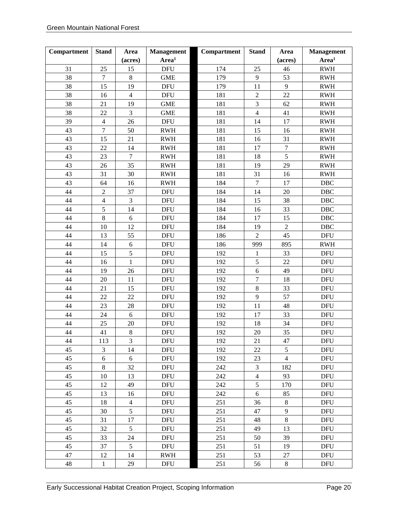| Compartment | <b>Stand</b>     | Area             | <b>Management</b> | Compartment | <b>Stand</b>            | Area             | <b>Management</b>                |
|-------------|------------------|------------------|-------------------|-------------|-------------------------|------------------|----------------------------------|
|             |                  | (acres)          | Area <sup>1</sup> |             |                         | (acres)          | Area <sup>1</sup>                |
| 31          | 25               | 15               | <b>DFU</b>        | 174         | 25                      | 46               | <b>RWH</b>                       |
| 38          | $\boldsymbol{7}$ | $\,8\,$          | <b>GME</b>        | 179         | $\boldsymbol{9}$        | 53               | <b>RWH</b>                       |
| 38          | 15               | 19               | <b>DFU</b>        | 179         | 11                      | 9                | <b>RWH</b>                       |
| 38          | 16               | $\overline{4}$   | <b>DFU</b>        | 181         | $\sqrt{2}$              | 22               | <b>RWH</b>                       |
| 38          | 21               | 19               | <b>GME</b>        | 181         | $\overline{3}$          | 62               | <b>RWH</b>                       |
| 38          | 22               | $\mathfrak{Z}$   | <b>GME</b>        | 181         | $\overline{\mathbf{4}}$ | 41               | <b>RWH</b>                       |
| 39          | $\overline{4}$   | 26               | <b>DFU</b>        | 181         | 14                      | 17               | <b>RWH</b>                       |
| 43          | $\boldsymbol{7}$ | 50               | <b>RWH</b>        | 181         | 15                      | 16               | <b>RWH</b>                       |
| 43          | 15               | 21               | <b>RWH</b>        | 181         | 16                      | 31               | $\mathbf{R}\mathbf{W}\mathbf{H}$ |
| 43          | 22               | 14               | <b>RWH</b>        | 181         | 17                      | $\boldsymbol{7}$ | <b>RWH</b>                       |
| 43          | 23               | $\boldsymbol{7}$ | <b>RWH</b>        | 181         | 18                      | 5                | <b>RWH</b>                       |
| 43          | 26               | 35               | <b>RWH</b>        | 181         | 19                      | 29               | $\mathbf{R}\mathbf{W}\mathbf{H}$ |
| 43          | 31               | 30               | <b>RWH</b>        | 181         | 31                      | 16               | <b>RWH</b>                       |
| 43          | 64               | 16               | <b>RWH</b>        | 184         | $\overline{7}$          | 17               | $\rm DBC$                        |
| 44          | $\boldsymbol{2}$ | 37               | <b>DFU</b>        | 184         | 14                      | 20               | DBC                              |
| 44          | $\overline{4}$   | $\mathfrak{Z}$   | <b>DFU</b>        | 184         | 15                      | 38               | DBC                              |
| 44          | 5                | 14               | <b>DFU</b>        | 184         | 16                      | 33               | DBC                              |
| 44          | 8                | $\sqrt{6}$       | <b>DFU</b>        | 184         | 17                      | 15               | $\rm DBC$                        |
| 44          | 10               | 12               | <b>DFU</b>        | 184         | 19                      | $\sqrt{2}$       | DBC                              |
| 44          | 13               | 55               | <b>DFU</b>        | 186         | $\overline{2}$          | 45               | <b>DFU</b>                       |
| 44          | 14               | 6                | <b>DFU</b>        | 186         | 999                     | 895              | <b>RWH</b>                       |
| 44          | 15               | 5                | <b>DFU</b>        | 192         | $\mathbf{1}$            | 33               | <b>DFU</b>                       |
| 44          | 16               | 1                | <b>DFU</b>        | 192         | 5                       | 22               | <b>DFU</b>                       |
| 44          | 19               | 26               | <b>DFU</b>        | 192         | 6                       | 49               | <b>DFU</b>                       |
| 44          | 20               | 11               | <b>DFU</b>        | 192         | $\overline{7}$          | 18               | <b>DFU</b>                       |
| 44          | 21               | 15               | <b>DFU</b>        | 192         | 8                       | 33               | <b>DFU</b>                       |
| 44          | 22               | 22               | <b>DFU</b>        | 192         | $\mathbf{9}$            | 57               | <b>DFU</b>                       |
| 44          | 23               | 28               | <b>DFU</b>        | 192         | 11                      | 48               | <b>DFU</b>                       |
| 44          | 24               | 6                | <b>DFU</b>        | 192         | 17                      | 33               | <b>DFU</b>                       |
| 44          | 25               | $20\,$           | <b>DFU</b>        | 192         | 18                      | 34               | <b>DFU</b>                       |
| 44          | 41               | $8\,$            | <b>DFU</b>        | 192         | 20                      | 35               | <b>DFU</b>                       |
| 44          | 113              | $\mathfrak{Z}$   | <b>DFU</b>        | 192         | 21                      | 47               | <b>DFU</b>                       |
| 45          | 3                | 14               | <b>DFU</b>        | 192         | 22                      | 5                | <b>DFU</b>                       |
| 45          | 6                | $6\,$            | <b>DFU</b>        | 192         | 23                      | $\overline{4}$   | <b>DFU</b>                       |
| 45          | $8\,$            | 32               | <b>DFU</b>        | 242         | 3                       | 182              | <b>DFU</b>                       |
| 45          | 10               | 13               | <b>DFU</b>        | 242         | $\overline{4}$          | 93               | <b>DFU</b>                       |
| 45          | 12               | 49               | <b>DFU</b>        | 242         | 5                       | 170              | <b>DFU</b>                       |
| 45          | 13               | 16               | <b>DFU</b>        | 242         | 6                       | 85               | <b>DFU</b>                       |
| 45          | 18               | $\overline{4}$   | <b>DFU</b>        | 251         | 36                      | $8\,$            | <b>DFU</b>                       |
| 45          | 30               | 5                | <b>DFU</b>        | 251         | 47                      | $\mathbf{9}$     | <b>DFU</b>                       |
| 45          | 31               | 17               | <b>DFU</b>        | 251         | 48                      | $8\,$            | <b>DFU</b>                       |
| 45          | 32               | 5                | <b>DFU</b>        | 251         | 49                      | 13               | <b>DFU</b>                       |
| 45          | 33               | 24               | <b>DFU</b>        | 251         | 50                      | 39               | <b>DFU</b>                       |
| 45          | 37               | $\mathfrak{S}$   | <b>DFU</b>        | 251         | 51                      | 19               | <b>DFU</b>                       |
| 47          | 12               | 14               | RWH               | 251         | 53                      | 27               | <b>DFU</b>                       |
| $48\,$      | $\mathbf{1}$     | 29               | DFU               | 251         | 56                      | $\,8\,$          | <b>DFU</b>                       |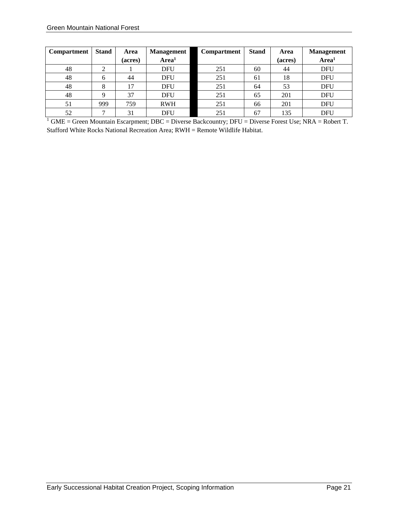| <b>Compartment</b> | <b>Stand</b> | Area    | <b>Management</b> | <b>Compartment</b> | <b>Stand</b> | Area    | <b>Management</b> |
|--------------------|--------------|---------|-------------------|--------------------|--------------|---------|-------------------|
|                    |              | (acres) | Area <sup>1</sup> |                    |              | (acres) | Area <sup>1</sup> |
| 48                 | ∠            |         | <b>DFU</b>        | 251                | 60           | 44      | <b>DFU</b>        |
| 48                 | 6            | 44      | <b>DFU</b>        | 251                | 61           | 18      | <b>DFU</b>        |
| 48                 | 8            | 7       | <b>DFU</b>        | 251                | 64           | 53      | <b>DFU</b>        |
| 48                 |              | 37      | <b>DFU</b>        | 251                | 65           | 201     | <b>DFU</b>        |
| 51                 | 999          | 759     | <b>RWH</b>        | 251                | 66           | 201     | <b>DFU</b>        |
| 52                 |              | 31      | DFU               | 251                | 67           | 135     | <b>DFU</b>        |

<sup>1</sup> GME = Green Mountain Escarpment; DBC = Diverse Backcountry; DFU = Diverse Forest Use; NRA = Robert T. Stafford White Rocks National Recreation Area; RWH = Remote Wildlife Habitat.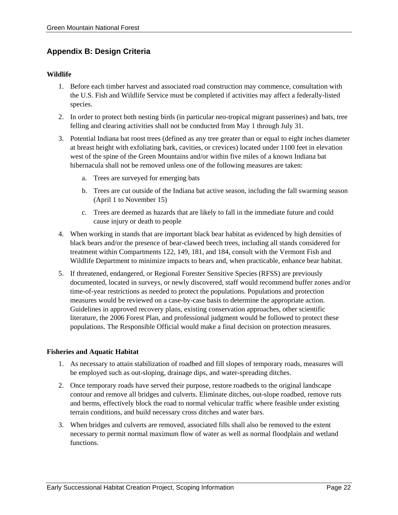#### **Appendix B: Design Criteria**

#### **Wildlife**

- 1. Before each timber harvest and associated road construction may commence, consultation with the U.S. Fish and Wildlife Service must be completed if activities may affect a federally-listed species.
- 2. In order to protect both nesting birds (in particular neo-tropical migrant passerines) and bats, tree felling and clearing activities shall not be conducted from May 1 through July 31.
- 3. Potential Indiana bat roost trees (defined as any tree greater than or equal to eight inches diameter at breast height with exfoliating bark, cavities, or crevices) located under 1100 feet in elevation west of the spine of the Green Mountains and/or within five miles of a known Indiana bat hibernacula shall not be removed unless one of the following measures are taken:
	- a. Trees are surveyed for emerging bats
	- b. Trees are cut outside of the Indiana bat active season, including the fall swarming season (April 1 to November 15)
	- c. Trees are deemed as hazards that are likely to fall in the immediate future and could cause injury or death to people
- 4. When working in stands that are important black bear habitat as evidenced by high densities of black bears and/or the presence of bear-clawed beech trees, including all stands considered for treatment within Compartments 122, 149, 181, and 184, consult with the Vermont Fish and Wildlife Department to minimize impacts to bears and, when practicable, enhance bear habitat.
- 5. If threatened, endangered, or Regional Forester Sensitive Species (RFSS) are previously documented, located in surveys, or newly discovered, staff would recommend buffer zones and/or time-of-year restrictions as needed to protect the populations. Populations and protection measures would be reviewed on a case-by-case basis to determine the appropriate action. Guidelines in approved recovery plans, existing conservation approaches, other scientific literature, the 2006 Forest Plan, and professional judgment would be followed to protect these populations. The Responsible Official would make a final decision on protection measures.

#### **Fisheries and Aquatic Habitat**

- 1. As necessary to attain stabilization of roadbed and fill slopes of temporary roads, measures will be employed such as out-sloping, drainage dips, and water-spreading ditches.
- 2. Once temporary roads have served their purpose, restore roadbeds to the original landscape contour and remove all bridges and culverts. Eliminate ditches, out-slope roadbed, remove ruts and berms, effectively block the road to normal vehicular traffic where feasible under existing terrain conditions, and build necessary cross ditches and water bars.
- 3. When bridges and culverts are removed, associated fills shall also be removed to the extent necessary to permit normal maximum flow of water as well as normal floodplain and wetland functions.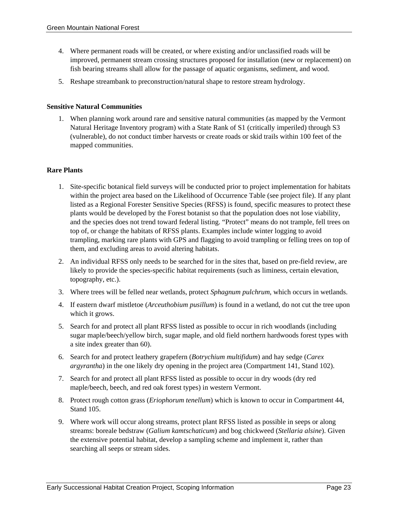- 4. Where permanent roads will be created, or where existing and/or unclassified roads will be improved, permanent stream crossing structures proposed for installation (new or replacement) on fish bearing streams shall allow for the passage of aquatic organisms, sediment, and wood.
- 5. Reshape streambank to preconstruction/natural shape to restore stream hydrology.

#### **Sensitive Natural Communities**

1. When planning work around rare and sensitive natural communities (as mapped by the Vermont Natural Heritage Inventory program) with a State Rank of S1 (critically imperiled) through S3 (vulnerable), do not conduct timber harvests or create roads or skid trails within 100 feet of the mapped communities.

#### **Rare Plants**

- 1. Site-specific botanical field surveys will be conducted prior to project implementation for habitats within the project area based on the Likelihood of Occurrence Table (see project file). If any plant listed as a Regional Forester Sensitive Species (RFSS) is found, specific measures to protect these plants would be developed by the Forest botanist so that the population does not lose viability, and the species does not trend toward federal listing. "Protect" means do not trample, fell trees on top of, or change the habitats of RFSS plants. Examples include winter logging to avoid trampling, marking rare plants with GPS and flagging to avoid trampling or felling trees on top of them, and excluding areas to avoid altering habitats.
- 2. An individual RFSS only needs to be searched for in the sites that, based on pre-field review, are likely to provide the species-specific habitat requirements (such as liminess, certain elevation, topography, etc.).
- 3. Where trees will be felled near wetlands, protect *Sphagnum pulchrum*, which occurs in wetlands.
- 4. If eastern dwarf mistletoe (*Arceuthobium pusillum*) is found in a wetland, do not cut the tree upon which it grows.
- 5. Search for and protect all plant RFSS listed as possible to occur in rich woodlands (including sugar maple/beech/yellow birch, sugar maple, and old field northern hardwoods forest types with a site index greater than 60).
- 6. Search for and protect leathery grapefern (*Botrychium multifidum*) and hay sedge (*Carex argyrantha*) in the one likely dry opening in the project area (Compartment 141, Stand 102).
- 7. Search for and protect all plant RFSS listed as possible to occur in dry woods (dry red maple/beech, beech, and red oak forest types) in western Vermont.
- 8. Protect rough cotton grass (*Eriophorum tenellum*) which is known to occur in Compartment 44, Stand 105.
- 9. Where work will occur along streams, protect plant RFSS listed as possible in seeps or along streams: boreale bedstraw (*Galium kamtschaticum*) and bog chickweed (*Stellaria alsine*). Given the extensive potential habitat, develop a sampling scheme and implement it, rather than searching all seeps or stream sides.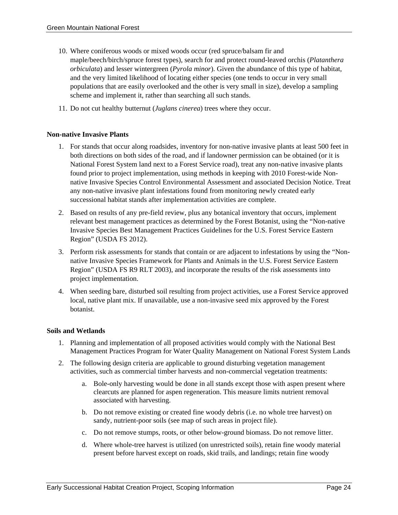- 10. Where coniferous woods or mixed woods occur (red spruce/balsam fir and maple/beech/birch/spruce forest types), search for and protect round-leaved orchis (*Platanthera orbiculata*) and lesser wintergreen (*Pyrola minor*). Given the abundance of this type of habitat, and the very limited likelihood of locating either species (one tends to occur in very small populations that are easily overlooked and the other is very small in size), develop a sampling scheme and implement it, rather than searching all such stands.
- 11. Do not cut healthy butternut (*Juglans cinerea*) trees where they occur.

#### **Non-native Invasive Plants**

- 1. For stands that occur along roadsides, inventory for non-native invasive plants at least 500 feet in both directions on both sides of the road, and if landowner permission can be obtained (or it is National Forest System land next to a Forest Service road), treat any non-native invasive plants found prior to project implementation, using methods in keeping with 2010 Forest-wide Nonnative Invasive Species Control Environmental Assessment and associated Decision Notice. Treat any non-native invasive plant infestations found from monitoring newly created early successional habitat stands after implementation activities are complete.
- 2. Based on results of any pre-field review, plus any botanical inventory that occurs, implement relevant best management practices as determined by the Forest Botanist, using the "Non-native Invasive Species Best Management Practices Guidelines for the U.S. Forest Service Eastern Region" (USDA FS 2012).
- 3. Perform risk assessments for stands that contain or are adjacent to infestations by using the "Nonnative Invasive Species Framework for Plants and Animals in the U.S. Forest Service Eastern Region" (USDA FS R9 RLT 2003), and incorporate the results of the risk assessments into project implementation.
- 4. When seeding bare, disturbed soil resulting from project activities, use a Forest Service approved local, native plant mix. If unavailable, use a non-invasive seed mix approved by the Forest botanist.

#### **Soils and Wetlands**

- 1. Planning and implementation of all proposed activities would comply with the National Best Management Practices Program for Water Quality Management on National Forest System Lands
- 2. The following design criteria are applicable to ground disturbing vegetation management activities, such as commercial timber harvests and non-commercial vegetation treatments:
	- a. Bole-only harvesting would be done in all stands except those with aspen present where clearcuts are planned for aspen regeneration. This measure limits nutrient removal associated with harvesting.
	- b. Do not remove existing or created fine woody debris (i.e. no whole tree harvest) on sandy, nutrient-poor soils (see map of such areas in project file).
	- c. Do not remove stumps, roots, or other below-ground biomass. Do not remove litter.
	- d. Where whole-tree harvest is utilized (on unrestricted soils), retain fine woody material present before harvest except on roads, skid trails, and landings; retain fine woody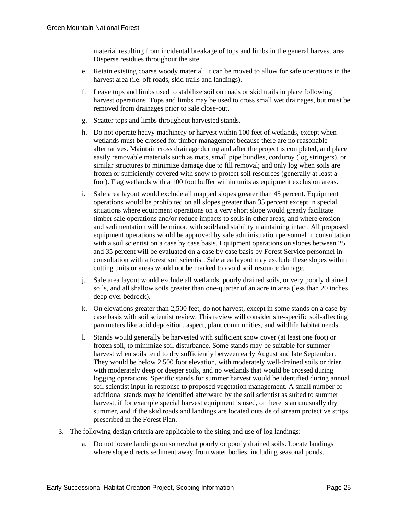material resulting from incidental breakage of tops and limbs in the general harvest area. Disperse residues throughout the site.

- e. Retain existing coarse woody material. It can be moved to allow for safe operations in the harvest area (i.e. off roads, skid trails and landings).
- f. Leave tops and limbs used to stabilize soil on roads or skid trails in place following harvest operations. Tops and limbs may be used to cross small wet drainages, but must be removed from drainages prior to sale close-out.
- g. Scatter tops and limbs throughout harvested stands.
- h. Do not operate heavy machinery or harvest within 100 feet of wetlands, except when wetlands must be crossed for timber management because there are no reasonable alternatives. Maintain cross drainage during and after the project is completed, and place easily removable materials such as mats, small pipe bundles, corduroy (log stringers), or similar structures to minimize damage due to fill removal; and only log when soils are frozen or sufficiently covered with snow to protect soil resources (generally at least a foot). Flag wetlands with a 100 foot buffer within units as equipment exclusion areas.
- i. Sale area layout would exclude all mapped slopes greater than 45 percent. Equipment operations would be prohibited on all slopes greater than 35 percent except in special situations where equipment operations on a very short slope would greatly facilitate timber sale operations and/or reduce impacts to soils in other areas, and where erosion and sedimentation will be minor, with soil/land stability maintaining intact. All proposed equipment operations would be approved by sale administration personnel in consultation with a soil scientist on a case by case basis. Equipment operations on slopes between 25 and 35 percent will be evaluated on a case by case basis by Forest Service personnel in consultation with a forest soil scientist. Sale area layout may exclude these slopes within cutting units or areas would not be marked to avoid soil resource damage.
- j. Sale area layout would exclude all wetlands, poorly drained soils, or very poorly drained soils, and all shallow soils greater than one-quarter of an acre in area (less than 20 inches deep over bedrock).
- k. On elevations greater than 2,500 feet, do not harvest, except in some stands on a case-bycase basis with soil scientist review. This review will consider site-specific soil-affecting parameters like acid deposition, aspect, plant communities, and wildlife habitat needs.
- l. Stands would generally be harvested with sufficient snow cover (at least one foot) or frozen soil, to minimize soil disturbance. Some stands may be suitable for summer harvest when soils tend to dry sufficiently between early August and late September. They would be below 2,500 foot elevation, with moderately well-drained soils or drier, with moderately deep or deeper soils, and no wetlands that would be crossed during logging operations. Specific stands for summer harvest would be identified during annual soil scientist input in response to proposed vegetation management. A small number of additional stands may be identified afterward by the soil scientist as suited to summer harvest, if for example special harvest equipment is used, or there is an unusually dry summer, and if the skid roads and landings are located outside of stream protective strips prescribed in the Forest Plan.
- 3. The following design criteria are applicable to the siting and use of log landings:
	- a. Do not locate landings on somewhat poorly or poorly drained soils. Locate landings where slope directs sediment away from water bodies, including seasonal ponds.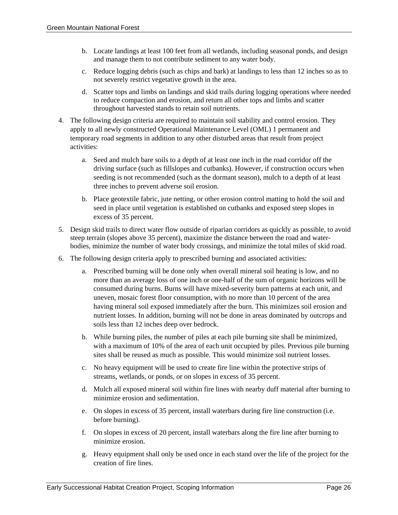- b. Locate landings at least 100 feet from all wetlands, including seasonal ponds, and design and manage them to not contribute sediment to any water body.
- c. Reduce logging debris (such as chips and bark) at landings to less than 12 inches so as to not severely restrict vegetative growth in the area.
- d. Scatter tops and limbs on landings and skid trails during logging operations where needed to reduce compaction and erosion, and return all other tops and limbs and scatter throughout harvested stands to retain soil nutrients.
- 4. The following design criteria are required to maintain soil stability and control erosion. They apply to all newly constructed Operational Maintenance Level (OML) 1 permanent and temporary road segments in addition to any other disturbed areas that result from project activities:
	- a. Seed and mulch bare soils to a depth of at least one inch in the road corridor off the driving surface (such as fillslopes and cutbanks). However, if construction occurs when seeding is not recommended (such as the dormant season), mulch to a depth of at least three inches to prevent adverse soil erosion.
	- b. Place geotextile fabric, jute netting, or other erosion control matting to hold the soil and seed in place until vegetation is established on cutbanks and exposed steep slopes in excess of 35 percent.
- 5. Design skid trails to direct water flow outside of riparian corridors as quickly as possible, to avoid steep terrain (slopes above 35 percent), maximize the distance between the road and waterbodies, minimize the number of water body crossings, and minimize the total miles of skid road.
- 6. The following design criteria apply to prescribed burning and associated activities:
	- a. Prescribed burning will be done only when overall mineral soil heating is low, and no more than an average loss of one inch or one-half of the sum of organic horizons will be consumed during burns. Burns will have mixed-severity burn patterns at each unit, and uneven, mosaic forest floor consumption, with no more than 10 percent of the area having mineral soil exposed immediately after the burn. This minimizes soil erosion and nutrient losses. In addition, burning will not be done in areas dominated by outcrops and soils less than 12 inches deep over bedrock.
	- b. While burning piles, the number of piles at each pile burning site shall be minimized, with a maximum of 10% of the area of each unit occupied by piles. Previous pile burning sites shall be reused as much as possible. This would minimize soil nutrient losses.
	- c. No heavy equipment will be used to create fire line within the protective strips of streams, wetlands, or ponds, or on slopes in excess of 35 percent.
	- d. Mulch all exposed mineral soil within fire lines with nearby duff material after burning to minimize erosion and sedimentation.
	- e. On slopes in excess of 35 percent, install waterbars during fire line construction (i.e. before burning).
	- f. On slopes in excess of 20 percent, install waterbars along the fire line after burning to minimize erosion.
	- g. Heavy equipment shall only be used once in each stand over the life of the project for the creation of fire lines.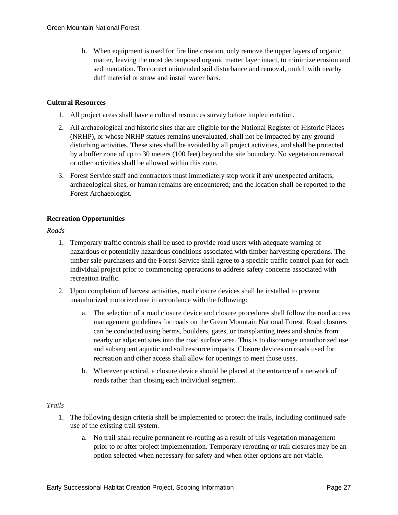h. When equipment is used for fire line creation, only remove the upper layers of organic matter, leaving the most decomposed organic matter layer intact, to minimize erosion and sedimentation. To correct unintended soil disturbance and removal, mulch with nearby duff material or straw and install water bars.

#### **Cultural Resources**

- 1. All project areas shall have a cultural resources survey before implementation.
- 2. All archaeological and historic sites that are eligible for the National Register of Historic Places (NRHP), or whose NRHP statues remains unevaluated, shall not be impacted by any ground disturbing activities. These sites shall be avoided by all project activities, and shall be protected by a buffer zone of up to 30 meters (100 feet) beyond the site boundary. No vegetation removal or other activities shall be allowed within this zone.
- 3. Forest Service staff and contractors must immediately stop work if any unexpected artifacts, archaeological sites, or human remains are encountered; and the location shall be reported to the Forest Archaeologist.

#### **Recreation Opportunities**

*Roads* 

- 1. Temporary traffic controls shall be used to provide road users with adequate warning of hazardous or potentially hazardous conditions associated with timber harvesting operations. The timber sale purchasers and the Forest Service shall agree to a specific traffic control plan for each individual project prior to commencing operations to address safety concerns associated with recreation traffic.
- 2. Upon completion of harvest activities, road closure devices shall be installed to prevent unauthorized motorized use in accordance with the following:
	- a. The selection of a road closure device and closure procedures shall follow the road access management guidelines for roads on the Green Mountain National Forest. Road closures can be conducted using berms, boulders, gates, or transplanting trees and shrubs from nearby or adjacent sites into the road surface area. This is to discourage unauthorized use and subsequent aquatic and soil resource impacts. Closure devices on roads used for recreation and other access shall allow for openings to meet those uses.
	- b. Wherever practical, a closure device should be placed at the entrance of a network of roads rather than closing each individual segment.

#### *Trails*

- 1. The following design criteria shall be implemented to protect the trails, including continued safe use of the existing trail system.
	- a. No trail shall require permanent re-routing as a result of this vegetation management prior to or after project implementation. Temporary rerouting or trail closures may be an option selected when necessary for safety and when other options are not viable.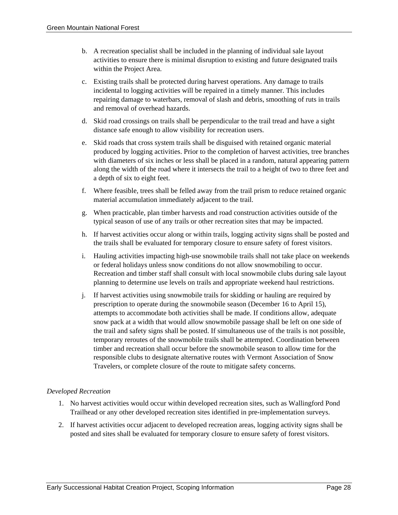- b. A recreation specialist shall be included in the planning of individual sale layout activities to ensure there is minimal disruption to existing and future designated trails within the Project Area.
- c. Existing trails shall be protected during harvest operations. Any damage to trails incidental to logging activities will be repaired in a timely manner. This includes repairing damage to waterbars, removal of slash and debris, smoothing of ruts in trails and removal of overhead hazards.
- d. Skid road crossings on trails shall be perpendicular to the trail tread and have a sight distance safe enough to allow visibility for recreation users.
- e. Skid roads that cross system trails shall be disguised with retained organic material produced by logging activities. Prior to the completion of harvest activities, tree branches with diameters of six inches or less shall be placed in a random, natural appearing pattern along the width of the road where it intersects the trail to a height of two to three feet and a depth of six to eight feet.
- f. Where feasible, trees shall be felled away from the trail prism to reduce retained organic material accumulation immediately adjacent to the trail.
- g. When practicable, plan timber harvests and road construction activities outside of the typical season of use of any trails or other recreation sites that may be impacted.
- h. If harvest activities occur along or within trails, logging activity signs shall be posted and the trails shall be evaluated for temporary closure to ensure safety of forest visitors.
- i. Hauling activities impacting high-use snowmobile trails shall not take place on weekends or federal holidays unless snow conditions do not allow snowmobiling to occur. Recreation and timber staff shall consult with local snowmobile clubs during sale layout planning to determine use levels on trails and appropriate weekend haul restrictions.
- j. If harvest activities using snowmobile trails for skidding or hauling are required by prescription to operate during the snowmobile season (December 16 to April 15), attempts to accommodate both activities shall be made. If conditions allow, adequate snow pack at a width that would allow snowmobile passage shall be left on one side of the trail and safety signs shall be posted. If simultaneous use of the trails is not possible, temporary reroutes of the snowmobile trails shall be attempted. Coordination between timber and recreation shall occur before the snowmobile season to allow time for the responsible clubs to designate alternative routes with Vermont Association of Snow Travelers, or complete closure of the route to mitigate safety concerns.

#### *Developed Recreation*

- 1. No harvest activities would occur within developed recreation sites, such as Wallingford Pond Trailhead or any other developed recreation sites identified in pre-implementation surveys.
- 2. If harvest activities occur adjacent to developed recreation areas, logging activity signs shall be posted and sites shall be evaluated for temporary closure to ensure safety of forest visitors.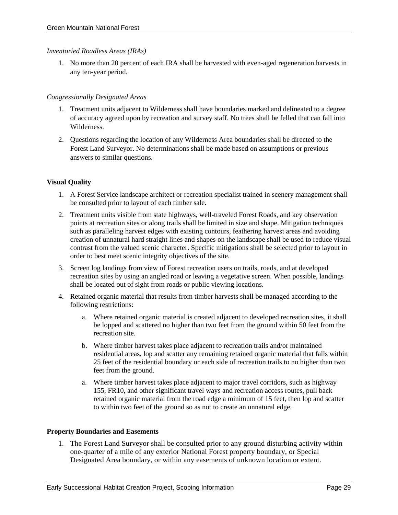#### *Inventoried Roadless Areas (IRAs)*

1. No more than 20 percent of each IRA shall be harvested with even-aged regeneration harvests in any ten-year period.

#### *Congressionally Designated Areas*

- 1. Treatment units adjacent to Wilderness shall have boundaries marked and delineated to a degree of accuracy agreed upon by recreation and survey staff. No trees shall be felled that can fall into Wilderness.
- 2. Questions regarding the location of any Wilderness Area boundaries shall be directed to the Forest Land Surveyor. No determinations shall be made based on assumptions or previous answers to similar questions.

#### **Visual Quality**

- 1. A Forest Service landscape architect or recreation specialist trained in scenery management shall be consulted prior to layout of each timber sale.
- 2. Treatment units visible from state highways, well-traveled Forest Roads, and key observation points at recreation sites or along trails shall be limited in size and shape. Mitigation techniques such as paralleling harvest edges with existing contours, feathering harvest areas and avoiding creation of unnatural hard straight lines and shapes on the landscape shall be used to reduce visual contrast from the valued scenic character. Specific mitigations shall be selected prior to layout in order to best meet scenic integrity objectives of the site.
- 3. Screen log landings from view of Forest recreation users on trails, roads, and at developed recreation sites by using an angled road or leaving a vegetative screen. When possible, landings shall be located out of sight from roads or public viewing locations.
- 4. Retained organic material that results from timber harvests shall be managed according to the following restrictions:
	- a. Where retained organic material is created adjacent to developed recreation sites, it shall be lopped and scattered no higher than two feet from the ground within 50 feet from the recreation site.
	- b. Where timber harvest takes place adjacent to recreation trails and/or maintained residential areas, lop and scatter any remaining retained organic material that falls within 25 feet of the residential boundary or each side of recreation trails to no higher than two feet from the ground.
	- a. Where timber harvest takes place adjacent to major travel corridors, such as highway 155, FR10, and other significant travel ways and recreation access routes, pull back retained organic material from the road edge a minimum of 15 feet, then lop and scatter to within two feet of the ground so as not to create an unnatural edge.

#### **Property Boundaries and Easements**

1. The Forest Land Surveyor shall be consulted prior to any ground disturbing activity within one-quarter of a mile of any exterior National Forest property boundary, or Special Designated Area boundary, or within any easements of unknown location or extent.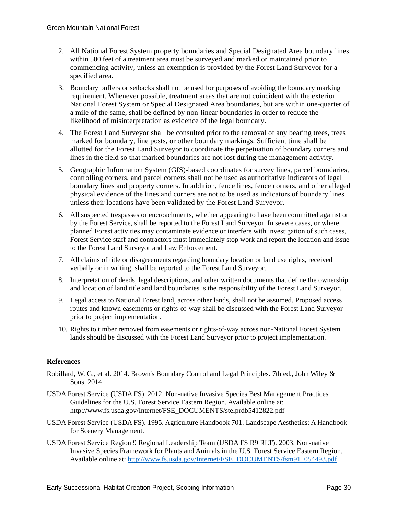- 2. All National Forest System property boundaries and Special Designated Area boundary lines within 500 feet of a treatment area must be surveyed and marked or maintained prior to commencing activity, unless an exemption is provided by the Forest Land Surveyor for a specified area.
- 3. Boundary buffers or setbacks shall not be used for purposes of avoiding the boundary marking requirement. Whenever possible, treatment areas that are not coincident with the exterior National Forest System or Special Designated Area boundaries, but are within one-quarter of a mile of the same, shall be defined by non-linear boundaries in order to reduce the likelihood of misinterpretation as evidence of the legal boundary.
- 4. The Forest Land Surveyor shall be consulted prior to the removal of any bearing trees, trees marked for boundary, line posts, or other boundary markings. Sufficient time shall be allotted for the Forest Land Surveyor to coordinate the perpetuation of boundary corners and lines in the field so that marked boundaries are not lost during the management activity.
- 5. Geographic Information System (GIS)-based coordinates for survey lines, parcel boundaries, controlling corners, and parcel corners shall not be used as authoritative indicators of legal boundary lines and property corners. In addition, fence lines, fence corners, and other alleged physical evidence of the lines and corners are not to be used as indicators of boundary lines unless their locations have been validated by the Forest Land Surveyor.
- 6. All suspected trespasses or encroachments, whether appearing to have been committed against or by the Forest Service, shall be reported to the Forest Land Surveyor. In severe cases, or where planned Forest activities may contaminate evidence or interfere with investigation of such cases, Forest Service staff and contractors must immediately stop work and report the location and issue to the Forest Land Surveyor and Law Enforcement.
- 7. All claims of title or disagreements regarding boundary location or land use rights, received verbally or in writing, shall be reported to the Forest Land Surveyor.
- 8. Interpretation of deeds, legal descriptions, and other written documents that define the ownership and location of land title and land boundaries is the responsibility of the Forest Land Surveyor.
- 9. Legal access to National Forest land, across other lands, shall not be assumed. Proposed access routes and known easements or rights-of-way shall be discussed with the Forest Land Surveyor prior to project implementation.
- 10. Rights to timber removed from easements or rights-of-way across non-National Forest System lands should be discussed with the Forest Land Surveyor prior to project implementation.

#### **References**

- Robillard, W. G., et al. 2014. Brown's Boundary Control and Legal Principles. 7th ed., John Wiley & Sons, 2014.
- USDA Forest Service (USDA FS). 2012. Non-native Invasive Species Best Management Practices Guidelines for the U.S. Forest Service Eastern Region. Available online at: http://www.fs.usda.gov/Internet/FSE\_DOCUMENTS/stelprdb5412822.pdf
- USDA Forest Service (USDA FS). 1995. Agriculture Handbook 701. Landscape Aesthetics: A Handbook for Scenery Management.
- USDA Forest Service Region 9 Regional Leadership Team (USDA FS R9 RLT). 2003. Non-native Invasive Species Framework for Plants and Animals in the U.S. Forest Service Eastern Region. Available online at: http://www.fs.usda.gov/Internet/FSE\_DOCUMENTS/fsm91\_054493.pdf